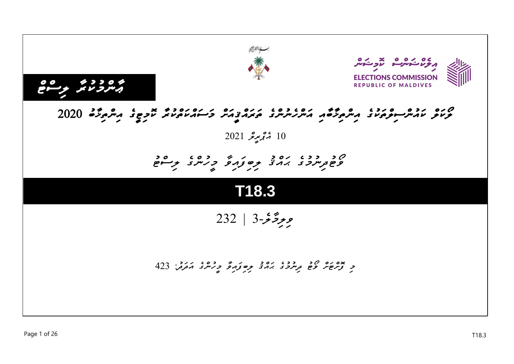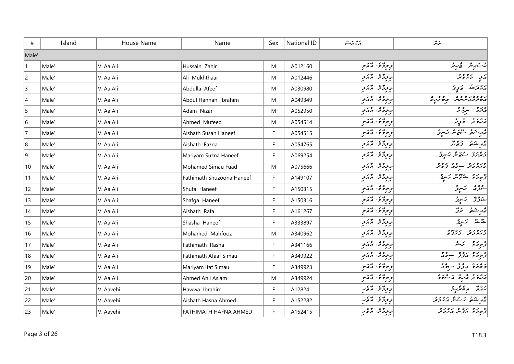| #              | Island | House Name | Name                      | Sex       | National ID | ، ه ، بر <u>م</u>               | ىئرىتر                                                 |
|----------------|--------|------------|---------------------------|-----------|-------------|---------------------------------|--------------------------------------------------------|
| Male'          |        |            |                           |           |             |                                 |                                                        |
|                | Male'  | V. Aa Ali  | Hussain Zahir             | M         | A012160     | ووڈڈ ممدو                       | يز سكر مثل التجاريخه                                   |
| $ 2\rangle$    | Male'  | V. Aa Ali  | Ali Mukhthaar             | M         | A012446     | وودعى المكرو                    | ړې ده ده.                                              |
| $\overline{3}$ | Male'  | V. Aa Ali  | Abdulla Afeef             | M         | A030980     | وودعى ازارو                     | پره ترالله پروتر                                       |
| 4              | Male'  | V. Aa Ali  | Abdul Hannan Ibrahim      | M         | A049349     | و دیگر از آمر                   | ر ه و ه ر ه ر و .<br>پر <i>ه تر پر س</i> رس<br>دە ئەرد |
| 5              | Male'  | V. Aa Ali  | Adam Nizar                | M         | A052950     | و د د که از آمر                 | دره سرچ د                                              |
| 6              | Male'  | V. Aa Ali  | Ahmed Mufeed              | ${\sf M}$ | A054514     | و دی به انگه د                  | د د د د و د                                            |
| $\overline{7}$ | Male'  | V. Aa Ali  | Aishath Susan Haneef      | F         | A054515     | وودعى ازأر                      | ە مەسىم ئىسى بىلىدى كەنبەر كەنبەر ئىس                  |
| 8              | Male'  | V. Aa Ali  | Aishath Fazna             | F         | A054765     | <i>و د</i> وځو ممکنو            | ۇرىشۇ زېڭر                                             |
| $\overline{9}$ | Male'  | V. Aa Ali  | Mariyam Suzna Haneef      | F         | A069254     | وودعى أمارو                     | رەرە دەپرىرو                                           |
| 10             | Male'  | V. Aa Ali  | Mohamed Simau Fuad        | ${\sf M}$ | A075666     | <sub>و ب</sub> ودځوي مرمزمو     | ورەر د سوژړ وور                                        |
| 11             | Male'  | V. Aa Ali  | Fathimath Shuzoona Haneef | F         | A149107     | و دی گی از آمر                  | ۇۋۇۋ ھەتەش ئەبىر                                       |
| 12             | Male'  | V. Aa Ali  | Shufa Haneef              | F         | A150315     | و دی گی از آمر                  | شۇرۇ ئەيرىۋ                                            |
| 13             | Male'  | V. Aa Ali  | Shafga Haneef             | F         | A150316     | و د ژ د .<br>  د بر ژ . گه مر   | خۇتۇ ئەيرۇ                                             |
| 14             | Male'  | V. Aa Ali  | Aishath Rafa              | F         | A161267     | ووژ ژ ژ ژ ژ                     | مەرىشى كۆ                                              |
| 15             | Male'  | V. Aa Ali  | Shasha Haneef             | F         | A333897     | وودعى ازارو                     | شرش ټروژ                                               |
| 16             | Male'  | V. Aa Ali  | Mohamed Mahfooz           | ${\sf M}$ | A340962     | وودد الممرو                     | 2320 1 21012<br>CLRCK CLYG                             |
| 17             | Male'  | V. Aa Ali  | Fathimath Rasha           | F         | A341166     | و دیگر از آمر                   | وٌمِ وَ مَرَ شَرَ                                      |
| 18             | Male'  | V. Aa Ali  | Fathimath Afaaf Simau     | F         | A349922     | و د ژ ژ , ژ ژ د                 | وٌ و و دوه سرده                                        |
| 19             | Male'  | V. Aa Ali  | Mariyam Ifaf Simau        | F         | A349923     | <i>و د د ؟</i><br>  ر بر د گهرم | وبمهزو رؤز سردو                                        |
| 20             | Male'  | V. Aa Ali  | Ahmed Ahil Aslam          | M         | A349924     | و د ژوئه شمر د                  | ړه د د پرو ټرورو                                       |
| 21             | Male'  | V. Aavehi  | Hawwa Ibrahim             | F         | A128241     | ە <del>د</del> ۇۋ. مۇر          |                                                        |
| 22             | Male'  | V. Aavehi  | Aishath Hasna Ahmed       | F         | A152282     | ە يەۋىئى ئەمۇر<br>بەر ئ         | د.<br>درخوی بر حامل برورد                              |
| 23             | Male'  | V. Aavehi  | FATHIMATH HAFNA AHMED     | F         | A152415     | موڅو په مور<br>  رخه کره کړه    | و د د ده و ره د د<br>د کارو د کار کرد کار              |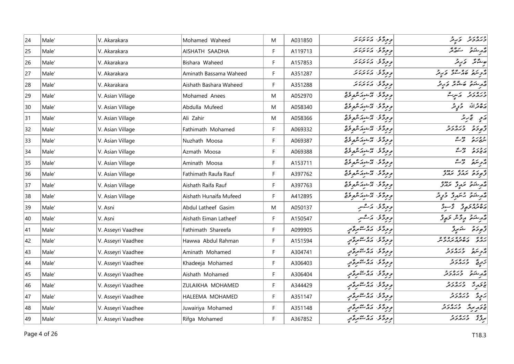| 24 | Male' | V. Akarakara       | Mohamed Waheed         | M         | A031850 | وودعى برزدردر                | ورەرو كەيتر                                                           |
|----|-------|--------------------|------------------------|-----------|---------|------------------------------|-----------------------------------------------------------------------|
| 25 | Male' | V. Akarakara       | AISHATH SAADHA         | F         | A119713 | ووڈ پی بردید                 | أور مشوقو المستوفر                                                    |
| 26 | Male' | V. Akarakara       | Bishara Waheed         | F         | A157853 | ە بەرگە ئەسىرىدىن            | حيث ورد                                                               |
| 27 | Male' | V. Akarakara       | Aminath Bassama Waheed | F         | A351287 | ە <del>د</del> ۇنۇ بەتلىرىكى | و مرد ده وو د د                                                       |
| 28 | Male' | V. Akarakara       | Aishath Bashara Waheed | F         | A351288 | و د څو . د بر بر بر بر       | مەر شىمى ھىشكى ھېرىد                                                  |
| 29 | Male' | V. Asian Village   | Mohamed Anees          | ${\sf M}$ | A052970 | و د د که شور شور ده          | ورەرو كەرگ                                                            |
| 30 | Male' | V. Asian Village   | Abdulla Mufeed         | M         | A058340 | وودو بمسركمودة               | أرَى قرالله كروية                                                     |
| 31 | Male' | V. Asian Village   | Ali Zahir              | M         | A058366 | و د د د . م شور شو د د ه     | أەيم يخ بەيم                                                          |
| 32 | Male' | V. Asian Village   | Fathimath Mohamed      | F         | A069332 | و دۇڭ ئۇ ھەر ھوڭ ق           | و د دره دره<br>ژوده درمدونر                                           |
| 33 | Male' | V. Asian Village   | Nuzhath Moosa          | F         | A069387 | و د د که به سره شهر ده       | د عثر<br>پر دیر د<br>سرچ ر <sub>ک</sub> و                             |
| 34 | Male' | V. Asian Village   | Azmath Moosa           | F         | A069388 | و دی که مشور شوده            | پر و ر و<br>پر بح څو<br>دين شهر                                       |
| 35 | Male' | V. Asian Village   | Aminath Moosa          | F         | A153711 | و دۇڭ ئۇ ھەر ھوڭ ق           | أزويتهم وحمش                                                          |
| 36 | Male' | V. Asian Village   | Fathimath Raufa Rauf   | F         | A397762 | و در در سور شور شهر ده       | و د د د د د ده ده<br>ژبوده سرمرز سرمرز                                |
| 37 | Male' | V. Asian Village   | Aishath Raifa Rauf     | F         | A397763 | و د د د . پر شور شرو ده.     | مەم شىم ئىروق بىرەر                                                   |
| 38 | Male' | V. Asian Village   | Aishath Hunaifa Mufeed | F         | A412895 | وودو بمسركمودة               | أقهر خوقه بالتمرقر وتوفر                                              |
| 39 | Male' | V. Asni            | Abdul Latheef Gasim    | M         | A050137 | وبوۋى ئەسىس                  | גַ 2006 בִצּיִי בְּ                                                   |
| 40 | Male' | V. Asni            | Aishath Eiman Latheef  | F         | A150547 | <sub>ج</sub> وچرى كەسىر      | ړې شو پروگر ځېږ                                                       |
| 41 | Male' | V. Asseyri Vaadhee | Fathimath Shareefa     | F         | A099905 |                              | وَّجِوحَةَ شَهْرِوٌ                                                   |
| 42 | Male' | V. Asseyri Vaadhee | Hawwa Abdul Rahman     | F         | A151594 | ە بەر ئەسىسى ئەسىرە ئەر      | ره د محمد ده ده ده د<br>بروی محافز محمد کرد                           |
| 43 | Male' | V. Asseyri Vaadhee | Aminath Mohamed        | F         | A304741 | ە بەر ئەسىسى ئەر ئەسىر ئەر   | و ره ر د<br>تر پر تر تر<br>أأرمز منعو                                 |
| 44 | Male' | V. Asseyri Vaadhee | Khadeeja Mohamed       | F         | A306403 | ە دۇكى بەھ سىرەتىر           | أزبريق وبره رو                                                        |
| 45 | Male' | V. Asseyri Vaadhee | Aishath Mohamed        | F         | A306404 | و د د د . د ه . ه هره د .    | ه دره دره در د                                                        |
| 46 | Male' | V. Asseyri Vaadhee | ZULAIKHA MOHAMED       | F         | A344429 | ە دۇكى بەھ سىرەتر            | و ره ر د<br>رنگرگر<br>ح ئۇر <i>ق</i>                                  |
| 47 | Male' | V. Asseyri Vaadhee | HALEEMA MOHAMED        | F         | A351147 | و دوی بره ۲۰۰ مورد           | و ره ر د<br><i>د ب</i> رگرفر<br>ا پر پوځ<br>پ                         |
| 48 | Male' | V. Asseyri Vaadhee | Juwairiya Mohamed      | F         | A351148 |                              | و ره ر د<br><i>د بر</i> د تر<br>  قے تو ہر بتر پیشر<br>  سے تو سر بتر |
| 49 | Male' | V. Asseyri Vaadhee | Rifga Mohamed          | F         | A367852 | ە دۇكى مەھسىمەدەر            | د و دره د د<br>برونځ تربرمرمن                                         |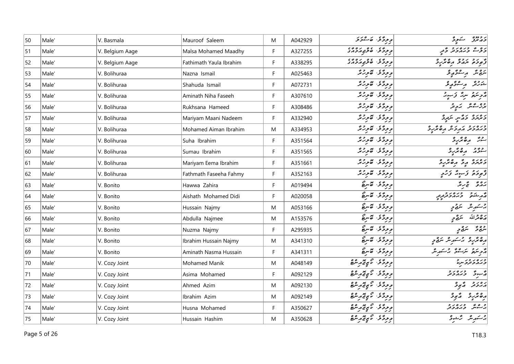| 50 | Male' | V. Basmala      | Mauroof Saleem          | M         | A042929 | ە دۇنۇ ، ئەسىرى ئە                                 | ر و دوه در کروی                         |
|----|-------|-----------------|-------------------------|-----------|---------|----------------------------------------------------|-----------------------------------------|
| 51 | Male' | V. Belgium Aage | Malsa Mohamed Maadhy    | F         | A327255 | <sub>و پ</sub> وځو . ه پوه ده ده                   | ره عدد دره د و عر                       |
| 52 | Male' | V. Belgium Aage | Fathimath Yaula Ibrahim | F         | A338295 | و و د د  ه و د ه ه ه ،<br>  و و د د  ه و و د د و د | צְפְרַם תְגֹל תְסֵילֵיךָ                |
| 53 | Male' | V. Bolihuraa    | Nazna Ismail            | F         | A025463 | وبودعى بيورثه                                      | ىئەش رەشۇر ۋ                            |
| 54 | Male' | V. Bolihuraa    | Shahuda Ismail          | F         | A072731 | و و دځو . هم ورثه                                  | شەرقە بەسىۋەپى                          |
| 55 | Male' | V. Bolihuraa    | Aminath Niha Faseeh     | F         | A307610 | وددَّ وبرقر                                        | أأوسكم سرئا وسير                        |
| 56 | Male' | V. Bolihuraa    | Rukhsana Hameed         | F         | A308486 | و دوکر په درند                                     | وه موشر برود.<br>برز سوشر برویز         |
| 57 | Male' | V. Bolihuraa    | Mariyam Maani Nadeem    | F         | A332940 | و دِرَّ دَ سَورتُهُ                                | ويرمرو أوكاس ترترو                      |
| 58 | Male' | V. Bolihuraa    | Mohamed Aiman Ibrahim   | M         | A334953 | ووڈ ڈی تھور تھ                                     | כנסנב ההכית הסתנב                       |
| 59 | Male' | V. Bolihuraa    | Suha Ibrahim            | F         | A351564 | و د د د  ه د ر بر                                  | لتنز رەئزىر                             |
| 60 | Male' | V. Bolihuraa    | Sumau Ibrahim           | F         | A351565 | و ورَّوْ. ھورىر                                    | 5, 50, 75                               |
| 61 | Male' | V. Bolihuraa    | Mariyam Eema Ibrahim    | F         | A351661 | و د څو ځورنگه<br>  ر ر                             | במתכ תב תפתיב                           |
| 62 | Male' | V. Bolihuraa    | Fathmath Faseeha Fahmy  | F         | A352163 | مودځو کلمورځو                                      | وتجوفا والبار ورقمي                     |
| 63 | Male' | V. Bonito       | Hawwa Zahira            | F         | A019494 | و و د د .<br>د رو د .                              | برە ئەرىتە                              |
| 64 | Male' | V. Bonito       | Aishath Mohamed Didi    | F         | A020058 | و و د کار په سره                                   |                                         |
| 65 | Male' | V. Bonito       | Hussain Najmy           | M         | A053166 | ە بەر ئەڭ ھەر قا                                   | بر سکر مرگه مرگه در به                  |
| 66 | Male' | V. Bonito       | Abdulla Najmee          | M         | A153576 | و د د د .<br>  د د د د  خاسره                      | حدة قدالله تتزييح                       |
| 67 | Male' | V. Bonito       | Nuzma Najmy             | F         | A295935 | و برگر کا تقسیم                                    | جره څه سرچ چ                            |
| 68 | Male' | V. Bonito       | Ibrahim Hussain Najmy   | M         | A341310 | مورد کو سمج میں<br>  مرکز کو سمج                   | مەھەر 2 مەسەم سىقى                      |
| 69 | Male' | V. Bonito       | Aminath Nasma Hussain   | F         | A341311 | مورځ کې ته شرح<br>  ريمنې                          | أأد الله المساور المستقر المستقر المستر |
| 70 | Male' | V. Cozy Joint   | <b>Mohamed Manik</b>    | M         | A048149 | وود و مناسبها                                      | כל סל כל ייטר<br>כל הכניכ ייטר          |
| 71 | Male' | V. Cozy Joint   | Asima Mohamed           | F         | A092129 | و دۇڭ ئىم قىرىمى                                   | و دره دره<br>د سور دربروتر              |
| 72 | Male' | V. Cozy Joint   | Ahmed Azim              | ${\sf M}$ | A092130 | وودرة فليتحمز منقا                                 | أرور وملتح                              |
| 73 | Male' | V. Cozy Joint   | Ibrahim Azim            | M         | A092149 | وودځو عمومته ورهيم                                 | وە ئۈر ئەلىم                            |
| 74 | Male' | V. Cozy Joint   | Husna Mohamed           | F         | A350627 |                                                    | <u>چە شەتىر</u><br>و رە ر د<br>تر پروتر |
| 75 | Male' | V. Cozy Joint   | Hussain Hashim          | ${\sf M}$ | A350628 | وودَّ دَ " ، پِي مِرسْع                            | بركتهر مر الراشور                       |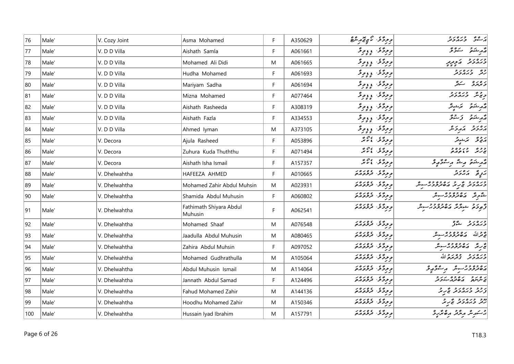| 76  | Male' | V. Cozy Joint | Asma Mohamed                       | F         | A350629 | و دۇ.<br>ئارىرى ئاي قارىتى                           | أرصص وره دو                                                   |
|-----|-------|---------------|------------------------------------|-----------|---------|------------------------------------------------------|---------------------------------------------------------------|
| 77  | Male' | V. D D Villa  | Aishath Samla                      | F         | A061661 | ووۇپ پېدۇ                                            | ړُ د شَوَ کرو د                                               |
| 78  | Male' | V. D D Villa  | Mohamed Ali Didi                   | ${\sf M}$ | A061665 | ووڈڈ ، پیوڈ                                          | وره رو<br>دبرمرونژ که دبربر                                   |
| 79  | Male' | V. D D Villa  | Hudha Mohamed                      | F         | A061693 | ەردۇر. بېيەر                                         | و در دره در د<br> رنگر دربرمرد                                |
| 80  | Male' | V. D D Villa  | Mariyam Sadha                      | F         | A061694 | ووڈڈ ، پیوڈ                                          | دەرە بەر                                                      |
| 81  | Male' | V. D D Villa  | Mizna Mohamed                      | F         | A077464 | <i>و د د گ</i> ور و و و د گه<br>  بر برگ معمولی او م | و ره ر و<br><i>و بر</i> و تر<br>ح ہی سگر                      |
| 82  | Male' | V. D D Villa  | Aishath Rasheeda                   | F         | A308319 | وودً د ، ، ، و دَ                                    | كمركو كرشونكر                                                 |
| 83  | Male' | V. D D Villa  | Aishath Fazla                      | F         | A334553 | ە دۇڭرىپودۇ.<br>س                                    | أمار وينكفح وكالمتوفي                                         |
| 84  | Male' | V. D D Villa  | Ahmed lyman                        | M         | A373105 | ووڈڈ ، پیوڈ                                          | أيهدد أتهركه                                                  |
| 85  | Male' | V. Decora     | Ajula Rasheed                      | F         | A053896 | ووڈڈ ، نامگر                                         | پر دی = پر شونر                                               |
| 86  | Male' | V. Decora     | Zuhura Kuda Thuththu               | F         | A071494 | ووڈڈ عمام                                            | $303/2$ $32$<br>$503/2$ $22$                                  |
| 87  | Male' | V. Decora     | Aishath Isha Ismail                | F         | A157357 | ە دۇنى ، ئاتر                                        | مەر شەق مەشق مەسىردە بولۇ                                     |
| 88  | Male' | V. Dhelwahtha | HAFEEZA AHMED                      | F         | A010665 | <sub>ج</sub> بودگان می ده در در                      | پَرۡ پِهِ دِی پِرَ وَ رَ                                      |
| 89  | Male' | V. Dhelwahtha | Mohamed Zahir Abdul Muhsin         | ${\sf M}$ | A023931 | <i>و و د څ</i> و بره د م                             | وره رو په د ره وه وه مشر                                      |
| 90  | Male' | V. Dhelwahtha | Shamida Abdul Muhusin              | F         | A060802 | و د د کار د د د د د د د                              | كشور مەمەم بەر بىر                                            |
| 91  | Male' | V. Dhelwahtha | Fathimath Shiyara Abdul<br>Muhusin | F         | A062541 | و پروگر و بره بر ۱۵۷۵                                | و دو شهر ده ده دو دو                                          |
| 92  | Male' | V. Dhelwahtha | Mohamed Shaaf                      | M         | A076548 | ە يەقىق بىرە دەر<br>مەيرىگى ئىرىم يەھ                | وره رو وه و                                                   |
| 93  | Male' | V. Dhelwahtha | Jaadulla Abdul Muhusin             | M         | A080465 | مورځ د موره د مورخ<br>  مورځ د مرورو مور             |                                                               |
| 94  | Male' | V. Dhelwahtha | Zahira Abdul Muhsin                | F         | A097052 | ه د د گوره د ۲۰۰۰<br>م د د گوره د د                  | ه د د ده ده ده .<br>محر په محمد دوبر سوش                      |
| 95  | Male' | V. Dhelwahtha | Mohamed Gudhrathulla               | ${\sf M}$ | A105064 | <sub>ج</sub> بودگان عاصره بر در ا                    | وره رو وه رو الله<br><i>وبه د</i> ومر تح <b>مر مر</b> مح الله |
| 96  | Male' | V. Dhelwahtha | Abdul Muhusin Ismail               | ${\sf M}$ | A114064 | <i>و و د څ</i> و بره د م                             | גם כם כב הם הם השפת כ                                         |
| 97  | Male' | V. Dhelwahtha | Jannath Abdul Samad                | F         | A124496 | و و د څو . د ه د ه د                                 |                                                               |
| 98  | Male' | V. Dhelwahtha | Fahud Mohamed Zahir                | M         | A144136 | و و د څو . د ه د ه د                                 | ر و و دره رو ځريگه                                            |
| 99  | Male' | V. Dhelwahtha | Hoodhu Mohamed Zahir               | M         | A150346 | <sub>ج ج</sub> وگو. مورود د                          | מכ כנסנכ של ב                                                 |
| 100 | Male' | V. Dhelwahtha | Hussain Iyad Ibrahim               | M         | A157791 | مودٌ د المعروم المعدد المعروم الم                    | بر سکر شهر شهر مره بر سر د                                    |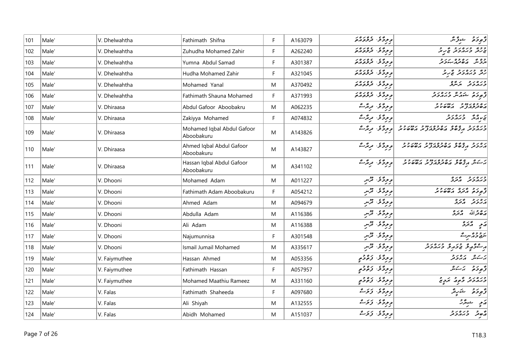| 101 | Male' | V. Dhelwahtha | Fathimath Shifna                         | F           | A163079 | و و د څو ، و د ه د                      | أزًى وَدَةَ سُورْسَرَ                                                                                                 |
|-----|-------|---------------|------------------------------------------|-------------|---------|-----------------------------------------|-----------------------------------------------------------------------------------------------------------------------|
| 102 | Male' | V. Dhelwahtha | Zuhudha Mohamed Zahir                    | F           | A262240 | <i>و و د څ</i> و او ده د ا              | 222 22012 225                                                                                                         |
| 103 | Male' | V. Dhelwahtha | Yumna Abdul Samad                        | F           | A301387 | وژنځر تروه ده د                         | כם מן כסף גיב<br>תכית הסנקה-הכנק                                                                                      |
| 104 | Male' | V. Dhelwahtha | Hudha Mohamed Zahir                      | F           | A321045 | مِعِرَّنَ مِّرْمُورُهِ مِ               | و د دره د د و د د د                                                                                                   |
| 105 | Male' | V. Dhelwahtha | Mohamed Yanal                            | M           | A370492 | د د ده د ده د ۱۰۰۰ د                    | ورەر دىرە                                                                                                             |
| 106 | Male' | V. Dhelwahtha | Fathimath Shauna Mohamed                 | F.          | A371993 | مِ مِرَّجٌ دَ سَمْ عَرْهُ مِرَ مِرَ     | و رو روه وره دو                                                                                                       |
| 107 | Male' | V. Dhiraasa   | Abdul Gafoor Aboobakru                   | M           | A062235 | <i>و د</i> ۇؤ. مەيڭە شە                 | נסכם נבר נברגב<br>הסטלה נא הססטא                                                                                      |
| 108 | Male' | V. Dhiraasa   | Zakiyya Mohamed                          | $\mathsf F$ | A074832 | وِ وِ دُ دُ و بَدْتُ                    | בעבר כבחבב                                                                                                            |
| 109 | Male' | V. Dhiraasa   | Mohamed Iqbal Abdul Gafoor<br>Aboobakuru | M           | A143826 |                                         | وره در وره وه در دود و رودرو در او در و.<br>وبهروش ورقاط ماه مورد و بر ماه ماسی او در در مرس                          |
| 110 | Male' | V. Dhiraasa   | Ahmed Iqbal Abdul Gafoor<br>Aboobakuru   | M           | A143827 |                                         | נים ניסים ליסים החת לאורים ליסים וליים ליסים ביוליים וליים.<br>המכת הצפילי הפית כהל אישים מיליים ליסים ביוליים וליים. |
| 111 | Male' | V. Dhiraasa   | Hassan Iqbal Abdul Gafoor<br>Aboobakuru  | M           | A341102 |                                         |                                                                                                                       |
| 112 | Male' | V. Dhooni     | Mohamed Adam                             | M           | A011227 | و د د د تر                              | ورەر د پرە<br><i>جد</i> ىرىتر كەترى                                                                                   |
| 113 | Male' | V. Dhooni     | Fathimath Adam Aboobakuru                | F.          | A054212 | <i>و و دُ</i> ځو انگرس                  | 22132 014 214                                                                                                         |
| 114 | Male' | V. Dhooni     | Ahmed Adam                               | M           | A094679 | و و د د قرمر<br>  د ر د قرمر            | ره رو پوره<br>پرېدنو پرتون                                                                                            |
| 115 | Male' | V. Dhooni     | Abdulla Adam                             | M           | A116386 | مورد ديمبر<br>  مريح ديمبر              | مَدْهِ مِّرْ اللَّهُ مَرْ مَرْدَّ                                                                                     |
| 116 | Male' | V. Dhooni     | Ali Adam                                 | M           | A116388 | ە يەردىگە بىر تەر                       | أرشمت أترمز                                                                                                           |
| 117 | Male' | V. Dhooni     | Najumunnisa                              | F           | A301548 | <br>  <sub>عر</sub> مرد در قرمر         | بر و وه<br>مربع و ژمېر گ                                                                                              |
| 118 | Male' | V. Dhooni     | Ismail Jumail Mohamed                    | M           | A335617 | موجوعي حينه<br>  تر پرځي قرمبر          | و عوصر و و در در در د                                                                                                 |
| 119 | Male' | V. Faiymuthee | Hassan Ahmed                             | M           | A053356 | و د ژ ژ ژ ژ ژ ژ و <sub>پ</sub>          | يركبش المرورو                                                                                                         |
| 120 | Male' | V. Faiymuthee | Fathimath Hassan                         | F           | A057957 | و د ژ د . زه د ه<br>  ر بر ژ د . زه د ه | قەم ئەسىر                                                                                                             |
| 121 | Male' | V. Faiymuthee | Mohamed Maathiu Rameez                   | M           | A331160 | و د څخه نوه د ه د                       |                                                                                                                       |
| 122 | Male' | V. Falas      | Fathimath Shaheeda                       | F           | A097680 | ومودٌ یی دَ دَ ک                        | وأجوحاهم المشريق                                                                                                      |
| 123 | Male' | V. Falas      | Ali Shiyah                               | M           | A132555 | وودٌى دَدَتْ                            | $\begin{array}{cc} \frac{1}{2} & \frac{1}{2} & \frac{1}{2} \\ \frac{1}{2} & \frac{1}{2} & \frac{1}{2} \end{array}$    |
| 124 | Male' | V. Falas      | Abidh Mohamed                            | M           | A151037 | وودٌ دُ زَرَبٌ                          | و دره دره<br>مگاه در در                                                                                               |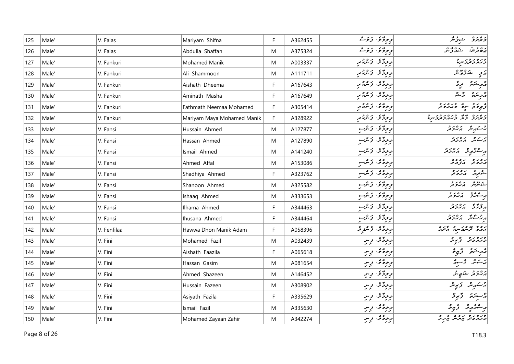| 125 | Male' | V. Falas    | Mariyam Shifna             | F           | A362455 | <sub>وم</sub> ودٌى كۆرگ     | ترەرە ھەرتىگە<br>جىمەرچە ھەرتىگە               |
|-----|-------|-------------|----------------------------|-------------|---------|-----------------------------|------------------------------------------------|
| 126 | Male' | V. Falas    | Abdulla Shaffan            | M           | A375324 | و دۇ ئى ئەنزىشە             | ىش <i>ەر ۋ</i> ىئر<br>ەھىراللە                 |
| 127 | Male' | V. Fankuri  | <b>Mohamed Manik</b>       | M           | A003337 | وبردعى وترادير              | כ גם ג כ ג<br><i>ב ג</i> וג <i>ב تو</i> ב سربا |
| 128 | Male' | V. Fankuri  | Ali Shammoon               | M           | A111711 | و دۇڭ ئەرەبىر               | 0.7001                                         |
| 129 | Male' | V. Fankuri  | Aishath Dheema             | F           | A167643 | موج <sup>و</sup> د مقرم مر  | و د شوځ ورځ<br>م                               |
| 130 | Male' | V. Fankuri  | Aminath Masha              | F           | A167649 | و دۇ. ئەرەبر                | أروسي والمشكل                                  |
| 131 | Male' | V. Fankuri  | Fathmath Neemaa Mohamed    | F           | A305414 | و د ژو. ز ۹، ته             | توجدة سرة ورورد                                |
| 132 | Male' | V. Fankuri  | Mariyam Maya Mohamed Manik | F           | A328922 | وودَّ وَ ، وَ مَدْرَم بِرِ  | נסנס שש כנסנכנים<br>כמחב כחל כמחבתביתט         |
| 133 | Male' | V. Fansi    | Hussain Ahmed              | M           | A127877 | وودعى وكدب                  | ج سکه شهر مرکز و در و                          |
| 134 | Male' | V. Fansi    | Hassan Ahmed               | M           | A127890 | ویردٌ دَ نګرب               | يركبش المرورو                                  |
| 135 | Male' | V. Fansi    | Ismail Ahmed               | M           | A141240 | و دِدَّدَ کَرْمَب           | وسنورو ورور                                    |
| 136 | Male' | V. Fansi    | Ahmed Affal                | M           | A153086 | ووڈڈ وَیْرب                 | גם גם גם בם<br>הגבת הצהב                       |
| 137 | Male' | V. Fansi    | Shadhiya Ahmed             | F           | A323762 | او دۇ.                      | شَوَوِرَ = دَرَو تر                            |
| 138 | Male' | V. Fansi    | Shanoon Ahmed              | M           | A325582 | ا <sub>ھ پر</sub> وی زیرب   | ے ووہ دے دی۔<br>شوسرس ارکرون                   |
| 139 | Male' | V. Fansi    | Ishaaq Ahmed               | M           | A333653 | أوودعى وتدب                 | در صوبر در در د                                |
| 140 | Male' | V. Fansi    | Ilhama Ahmed               | F           | A344463 | ویردً دَ تر تر سو           | أرورو رەرد                                     |
| 141 | Male' | V. Fansi    | Ihusana Ahmed              | F           | A344464 | <sub>ویوددَّ دَ مَرْب</sub> | برر مشر بره دو                                 |
| 142 | Male' | V. Fenfilaa | Hawwa Dhon Manik Adam      | $\mathsf F$ | A058396 | وودٌدُ وَعْدِدٌ             |                                                |
| 143 | Male' | V. Fini     | Mohamed Fazil              | M           | A032439 | و ودځو . وس                 | ورەرو ۋىر                                      |
| 144 | Male' | V. Fini     | Aishath Faazila            | F           | A065618 | وودد وبر                    | وكرمشكم ومجافر                                 |
| 145 | Male' | V. Fini     | Hassan Gasim               | M           | A081654 | وودٌ دُ وسِ                 | برسكس تؤسدو                                    |
| 146 | Male' | V. Fini     | Ahmed Shazeen              | M           | A146452 | وودٌ دُ وِسِ                | پرویر ځوی ش                                    |
| 147 | Male' | V. Fini     | Hussain Fazeen             | M           | A308902 | وودٌ دُ وِسِ                | يز ستمريش ترىپىش                               |
| 148 | Male' | V. Fini     | Asiyath Fazila             | F           | A335629 | ە دۇڭ بېر                   | ۇسىدە ئېرۇ                                     |
| 149 | Male' | V. Fini     | Ismail Fazil               | M           | A335630 | <sub>عرم</sub> ورځو. ویبر   | رەشۇر ئىج                                      |
| 150 | Male' | V. Fini     | Mohamed Zayaan Zahir       | M           | A342274 | و ودځو . و سر               | כנסגב גם פי בי                                 |
|     |       |             |                            |             |         |                             |                                                |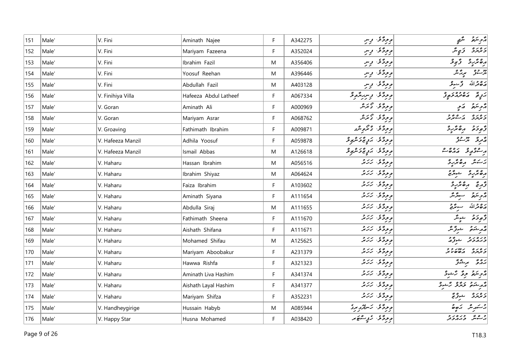| 151 | Male' | V. Fini           | Aminath Najee         | $\mathsf F$ | A342275 | ودۇپ دېر                                                                                                                                                                                                                         | أأرمزه<br>سرتمج                              |
|-----|-------|-------------------|-----------------------|-------------|---------|----------------------------------------------------------------------------------------------------------------------------------------------------------------------------------------------------------------------------------|----------------------------------------------|
| 152 | Male' | V. Fini           | Mariyam Fazeena       | F           | A352024 | <sub>و پ</sub> وژی ویر                                                                                                                                                                                                           | ر ه ر ه<br><del>و</del> بربرو<br>ۇ ئېچە ئىگر |
| 153 | Male' | V. Fini           | Ibrahim Fazil         | M           | A356406 | <sub>و پ</sub> وژی ویر                                                                                                                                                                                                           | ە ھېڭرىرى<br>ب<br>ۇ ئىم بۇ                   |
| 154 | Male' | V. Fini           | Yoosuf Reehan         | M           | A396446 | وودٌ دُ وِسِ                                                                                                                                                                                                                     | دو و ه<br>در سور<br>بريم                     |
| 155 | Male' | V. Fini           | Abdullah Fazil        | M           | A403128 | <mark>وږدځو رس</mark>                                                                                                                                                                                                            | رَة قرالله قرَ سَوْرٌ                        |
| 156 | Male' | V. Finihiya Villa | Hafeeza Abdul Latheef | F           | A067334 | وودد وسهدود                                                                                                                                                                                                                      | ر ده ده ده ده د و                            |
| 157 | Male' | V. Goran          | Aminath Ali           | F           | A000969 | أو ويحو من من المحمد المحمد المحمد المحمد المحمد المحمد المحمد المحمد المحمد المحمد المحمد المحمد المحمد المحم<br>المحمد المحمد المحمد المحمد المحمد المحمد المحمد المحمد المحمد المحمد المحمد المحمد المحمد المحمد المحمد المحم | أزوينهم أرمو                                 |
| 158 | Male' | V. Goran          | Mariyam Asrar         | F           | A068762 | و دۇنۇ ، ئەترىر                                                                                                                                                                                                                  | رەرە بەر دە                                  |
| 159 | Male' | V. Groaving       | Fathimath Ibrahim     | F.          | A009871 | و دځه ویمومند                                                                                                                                                                                                                    | و دو ره پر د                                 |
| 160 | Male' | V. Hafeeza Manzil | Adhila Yoosuf         | F           | A059878 | <sub>و پر</sub> ۇي. ئ <sub>ە</sub> رپەۋىر بولۇ                                                                                                                                                                                   | ە ئىرىۋە ئەرسىنى                             |
| 161 | Male' | V. Hafeeza Manzil | Ismail Abbas          | M           | A126618 | <sub>و پر</sub> ۇي. ئ <sub>ە</sub> رپەۋىر بولۇ                                                                                                                                                                                   |                                              |
| 162 | Male' | V. Haharu         | Hassan Ibrahim        | M           | A056516 | وودٌ دُ رَرَبُرُ<br>  رَبِّ                                                                                                                                                                                                      | برسكره المقترح                               |
| 163 | Male' | V. Haharu         | Ibrahim Shiyaz        | M           | A064624 | وودة. زرو                                                                                                                                                                                                                        | ת <i>סיתי כ</i> ל הייתי                      |
| 164 | Male' | V. Haharu         | Faiza Ibrahim         | $\mathsf F$ | A103602 | ە يەدىجە ئەرىرى<br>ئەرە                                                                                                                                                                                                          | وٌ مع أو المعتبر و                           |
| 165 | Male' | V. Haharu         | Aminath Siyana        | F           | A111654 | و د د د کرد د                                                                                                                                                                                                                    | ومحر سنرتشر                                  |
| 166 | Male' | V. Haharu         | Abdulla Siraj         | M           | A111655 | و و د د که ر کرکند                                                                                                                                                                                                               | ەھىراللە<br>سىر تەرىج<br>مەسىر تەرى          |
| 167 | Male' | V. Haharu         | Fathimath Sheena      | F.          | A111670 | وودٌ دُ رَرَيْرُ                                                                                                                                                                                                                 | وٌ و حر مشر مشر مشر                          |
| 168 | Male' | V. Haharu         | Aishath Shifana       | F           | A111671 | <i>و د</i> ۇ ئارىر<br>  ئارىرىقى: ئارىرى                                                                                                                                                                                         | مەر ئەق ئىسۇ ئىر                             |
| 169 | Male' | V. Haharu         | Mohamed Shifau        | M           | A125625 | وودٌ وُ - رَرَبُرُ                                                                                                                                                                                                               | وره رو در دور<br><i>د بر پرونډ</i>           |
| 170 | Male' | V. Haharu         | Mariyam Aboobakur     | F           | A231379 | مودٌ وَ رَرَبُرُ                                                                                                                                                                                                                 | נסנס נחנדר<br>קאתר גםסטא                     |
| 171 | Male' | V. Haharu         | Hawwa Rishfa          | F           | A321323 | ە يەدىجى، ئەرىر                                                                                                                                                                                                                  | رەپ برىشۇ                                    |
| 172 | Male' | V. Haharu         | Aminath Liva Hashim   | F           | A341374 | و و د د کرد بر                                                                                                                                                                                                                   | أأوسم ووتح كرشوه                             |
| 173 | Male' | V. Haharu         | Aishath Layal Hashim  | $\mathsf F$ | A341377 | <i>و د</i> ۇ ئەر ئەر ئە                                                                                                                                                                                                          |                                              |
| 174 | Male' | V. Haharu         | Mariyam Shifza        | F           | A352231 | و د د کار زر ترک                                                                                                                                                                                                                 | ومروح شوومج                                  |
| 175 | Male' | V. Handheygirige  | Hussain Habyb         | M           | A085944 | پرېځو: رسېږي بره<br>                                                                                                                                                                                                             | بر سکر سر بر کره ده                          |
| 176 | Male' | V. Happy Star     | Husna Mohamed         | F           | A038420 | وودٌ دُ. رُوٍ حُقِ مَهِ                                                                                                                                                                                                          | و مشر به دره د د<br>پرسوس بر دید در          |
|     |       |                   |                       |             |         |                                                                                                                                                                                                                                  |                                              |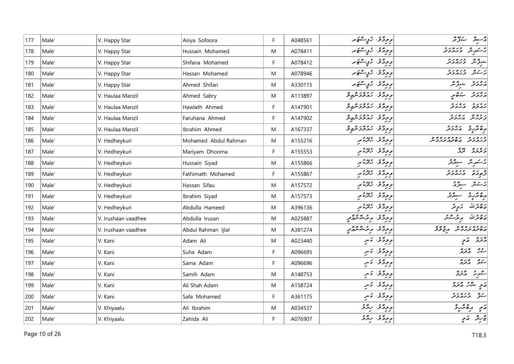| 177 | Male' | V. Happy Star       | Asiya Sofoora        | F           | A048561 | <sub>و تر</sub> وًى كې <sub>رى</sub> شى ئىر               | پ <sup>ر</sup> سور سور پر<br>م                                    |
|-----|-------|---------------------|----------------------|-------------|---------|-----------------------------------------------------------|-------------------------------------------------------------------|
| 178 | Male' | V. Happy Star       | Hussain Mohamed      | M           | A078411 | وودٌوْ. رُوِيْتَ عَمَد                                    | بر شهر مده دره در د                                               |
| 179 | Male' | V. Happy Star       | Shifana Mohamed      | F           | A078412 | وودٌو. رُوٍيْ وَمَ                                        | مشوقر ورەرد                                                       |
| 180 | Male' | V. Happy Star       | Hassan Mohamed       | M           | A078946 | وودًى دَرِيْءَ ر                                          | يركس وره رو                                                       |
| 181 | Male' | V. Happy Star       | Ahmed Shifan         | M           | A330115 | مورد د کار مقیمہ                                          | رەر <sub>ئىو</sub> تىر                                            |
| 182 | Male' | V. Haulaa Manzil    | Ahmed Sabry          | M           | A113897 | و دوکر روزوره و                                           | رەرد بەھىر                                                        |
| 183 | Male' | V. Haulaa Manzil    | Hawlath Ahmed        | $\mathsf F$ | A147901 | ودؤة روورو و                                              |                                                                   |
| 184 | Male' | V. Haulaa Manzil    | Faruhana Ahmed       | F           | A147902 | وبردى روور مهو                                            | ر ده پر در د                                                      |
| 185 | Male' | V. Haulaa Manzil    | Ibrahim Ahmed        | M           | A167337 | د د محمد العملي د العملي د                                | תפתוב המכנק                                                       |
| 186 | Male' | V. Hedheykuri       | Mohamed Abdul Rahman | M           | A155216 | ویروگو: رکورنامبر                                         | ر ه د ه ر ه د ه<br>پره تربر تر بر<br>و ره ر و<br><i>و پر</i> و تر |
| 187 | Male' | V. Hedheykuri       | Mariyam Dhooma       | F           | A155553 | <i>و د څ</i> و منګره مر                                   | נ סנים - כבשי<br><i>כי מ</i> תכ" - בניב                           |
| 188 | Male' | V. Hedheykuri       | Hussain Siyad        | M           | A155866 | و و د د .<br>  و و د د .<br>  د .                         | ر<br>بر کشمیر شده مستقرر میکند.<br>مستقرر میکند                   |
| 189 | Male' | V. Hedheykuri       | Fathimath Mohamed    | F           | A155867 | موجوعة متحدة مر                                           |                                                                   |
| 190 | Male' | V. Hedheykuri       | Hassan Sifau         | M           | A157572 | ە يەۋىچە بەيدە<br>بەر                                     | برسته سودة                                                        |
| 191 | Male' | V. Hedheykuri       | Ibrahim Siyad        | M           | A157573 |                                                           | وەتمرۇ سۆز                                                        |
| 192 | Male' | V. Hedheykuri       | Abdulla Hameed       | M           | A396136 | <i>و و د ځ</i> و عملي مر<br>  بر بر مسلم مر               | برە دالله برد د                                                   |
| 193 | Male' | V. Irushaan vaadhee | Abdulla Irusan       | M           | A025887 | <sub>عرم</sub> وکو، <sub>مرم</sub> رشگرموگیر <sub>ی</sub> | رە قراللە مەمرىكە                                                 |
| 194 | Male' | V. Irushaan vaadhee | Abdul Rahman Ijlal   | M           | A381274 | و د د د . د بر شوه د د پر                                 | رە دەرەپە ھەرەپە<br>ھەھەممەدش مەقرى                               |
| 195 | Male' | V. Kani             | Adam Ali             | M           | A023440 | و د ژ د .<br>  ر ر ژ د .                                  | أتروه أترمح                                                       |
| 196 | Male' | V. Kani             | Suha Adam            | F           | A096695 | مورد دي.<br>  ريز ديگر                                    | رح پوره                                                           |
| 197 | Male' | V. Kani             | Sama Adam            | $\mathsf F$ | A096696 | و د ژو نمبر                                               | ريز په پره                                                        |
| 198 | Male' | V. Kani             | Samih Adam           | M           | A148753 | و دِدَّنَى ، ئَسِ                                         | سەر پەرە                                                          |
| 199 | Male' | V. Kani             | Ali Shah Adam        | M           | A158724 | <sub>عرم</sub> ورځ ځور کمکنې لر                           | پر پر شده د بره                                                   |
| 200 | Male' | V. Kani             | Safa Mohamed         | $\mathsf F$ | A361175 | وودڅري ځمیر                                               | ے وره دو<br>سوز ورمارونر                                          |
| 201 | Male' | V. Khiyaalu         | Ali Ibrahim          | M           | A034537 | <i>و د</i> ۇ ئۇ رېگىۋ                                     | أمو مقدرة                                                         |
| 202 | Male' | V. Khiyaalu         | Zahida Ali           | F           | A076907 | مورد د .<br>  مربر د . مربر د                             | تجرىتمر كامير                                                     |
|     |       |                     |                      |             |         |                                                           |                                                                   |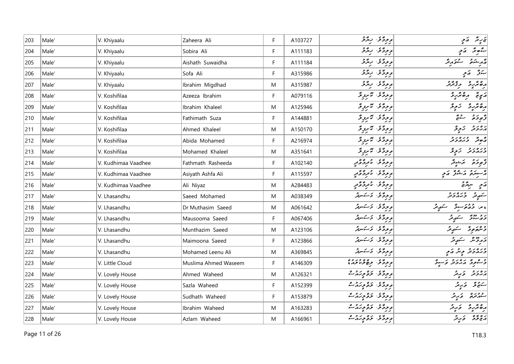| 203 | Male' | V. Khiyaalu         | Zaheera Ali          | $\mathsf F$ | A103727 | مودوعة المراجمة<br>  يراجع المراجمة                                                                            | ىم پەشقە بەيد                                                                                                                                                                                                                                                  |
|-----|-------|---------------------|----------------------|-------------|---------|----------------------------------------------------------------------------------------------------------------|----------------------------------------------------------------------------------------------------------------------------------------------------------------------------------------------------------------------------------------------------------------|
| 204 | Male' | V. Khiyaalu         | Sobira Ali           | F           | A111183 | و و د کار رو د کار                                                                                             | $\frac{1}{2}$                                                                                                                                                                                                                                                  |
| 205 | Male' | V. Khiyaalu         | Aishath Suwaidha     | $\mathsf F$ | A111184 | و د د د . د پرتمه                                                                                              |                                                                                                                                                                                                                                                                |
| 206 | Male' | V. Khiyaalu         | Sofa Ali             | F           | A315986 | و و د د و .<br>  د ر د د ر د د                                                                                 | لينوش الأمج                                                                                                                                                                                                                                                    |
| 207 | Male' | V. Khiyaalu         | Ibrahim Migdhad      | M           | A315987 | <i>و د</i> ۇ ئۇ ، ئەردى<br>  ئەرىرى ئىسرىرىدى                                                                  | ە ھەترىرى<br>بر ھەترىرى<br>وتؤثرتر                                                                                                                                                                                                                             |
| 208 | Male' | V. Koshifilaa       | Azeeza Ibrahim       | $\mathsf F$ | A079116 | <sub>و د</sub> ۇ، ت <sub>ىرو</sub> ۇ                                                                           |                                                                                                                                                                                                                                                                |
| 209 | Male' | V. Koshifilaa       | Ibrahim Khaleel      | M           | A125946 | ە دۇڭ ئ <sup>ى</sup> روڭ                                                                                       | ە ھەترىر <sup>ى</sup><br>بر ھەترىرى<br>تزمونى                                                                                                                                                                                                                  |
| 210 | Male' | V. Koshifilaa       | Fathimath Suza       | F           | A144881 | ە دۇڭ ئ <sup>ى</sup> روڭ                                                                                       | قرموخر ويحتج                                                                                                                                                                                                                                                   |
| 211 | Male' | V. Koshifilaa       | Ahmed Khaleel        | ${\sf M}$   | A150170 | <sub>وپوځ</sub> و مېږو د                                                                                       | پرەرو زىرو                                                                                                                                                                                                                                                     |
| 212 | Male' | V. Koshifilaa       | Abida Mohamed        | F           | A216974 | <sub>ویودد دیم تاروید</sub>                                                                                    | ح وره در                                                                                                                                                                                                                                                       |
| 213 | Male' | V. Koshifilaa       | Mohamed Khaleel      | M           | A351641 | وود د سمبر د                                                                                                   | دره در در زرو                                                                                                                                                                                                                                                  |
| 214 | Male' | V. Kudhimaa Vaadhee | Fathmath Rasheeda    | $\mathsf F$ | A102140 | <i>و د د ځې</i> د د وگړو                                                                                       | أوالمحر والمتحفظ المحمدة والمحر                                                                                                                                                                                                                                |
| 215 | Male' | V. Kudhimaa Vaadhee | Asiyath Ashfa Ali    | F           | A115597 | ە دۇڭ ئىرگە ئورگە                                                                                              |                                                                                                                                                                                                                                                                |
| 216 | Male' | V. Kudhimaa Vaadhee | Ali Niyaz            | ${\sf M}$   | A284483 | و دی. د دولو                                                                                                   |                                                                                                                                                                                                                                                                |
| 217 | Male' | V. Lhasandhu        | Saeed Mohamed        | ${\sf M}$   | A038349 | ە بەرگە ئەسەر بەر                                                                                              | شهر تر در در د                                                                                                                                                                                                                                                 |
| 218 | Male' | V. Lhasandhu        | Dr Muthasim Saeed    | ${\sf M}$   | A061642 | مِ مِرَّجٌ کَ کَ سَاسِرْتُر                                                                                    | $\begin{array}{cc} \mathcal{L}_{\mathcal{A}} & \mathcal{L}_{\mathcal{A}} & \mathcal{L}_{\mathcal{A}} & \mathcal{L}_{\mathcal{A}} \\ \mathcal{L}_{\mathcal{A}} & \mathcal{L}_{\mathcal{A}} & \mathcal{L}_{\mathcal{A}} & \mathcal{L}_{\mathcal{A}} \end{array}$ |
| 219 | Male' | V. Lhasandhu        | Mausooma Saeed       | F           | A067406 | وودٌ دُ کاسکار                                                                                                 | גב חדש באובר.<br>בגיבורי באובר                                                                                                                                                                                                                                 |
| 220 | Male' | V. Lhasandhu        | Munthazim Saeed      | M           | A123106 | <i>و و دُ</i> ئو ، كەسىند                                                                                      | ومروه سكوتر                                                                                                                                                                                                                                                    |
| 221 | Male' | V. Lhasandhu        | Maimoona Saeed       | F           | A123866 | موردٌ توريد موردٌ                                                                                              | در دور منظم در محمد مر                                                                                                                                                                                                                                         |
| 222 | Male' | V. Lhasandhu        | Mohamed Leenu Ali    | M           | A369845 | ە بەرگە ئەسەرىد                                                                                                | وبره برو په ټر ټر                                                                                                                                                                                                                                              |
| 223 | Male' | V. Little Cloud     | Muslima Ahmed Waseem | F           | A146309 | وودعى ووودوه                                                                                                   | وصوفة أماروا وسوف                                                                                                                                                                                                                                              |
| 224 | Male' | V. Lovely House     | Ahmed Waheed         | M           | A126321 | وودَّى دَهْ دِرَهْتْ                                                                                           | دەر د كەرد                                                                                                                                                                                                                                                     |
| 225 | Male' | V. Lovely House     | Sazla Waheed         | F           | A152399 | ە بەر ئەھمەر دەپىر كەنتىستىكى باشلار ئايلاشلار ئايلار كەنتلەت كەنتىكە بايدا كەنتلەت كەنتى بولۇپ كەنتى بولۇپ كە | سەپىۋە ئەرىتى                                                                                                                                                                                                                                                  |
| 226 | Male' | V. Lovely House     | Sudhath Waheed       | F           | A153879 | <sub>و ب</sub> ود د کار د د مرد د ه                                                                            | د د ره<br> سه ترج گورنر                                                                                                                                                                                                                                        |
| 227 | Male' | V. Lovely House     | Ibrahim Waheed       | M           | A163283 | <sub>و پر</sub> وگو، ئوھ پر پر قسمت ا                                                                          | رە ئرىر ئىرىر                                                                                                                                                                                                                                                  |
| 228 | Male' | V. Lovely House     | Azlam Waheed         | ${\sf M}$   | A166961 | <i>و د د د .</i><br>  بر بر د د د بر بر د م                                                                    | دەپرە ھېرى                                                                                                                                                                                                                                                     |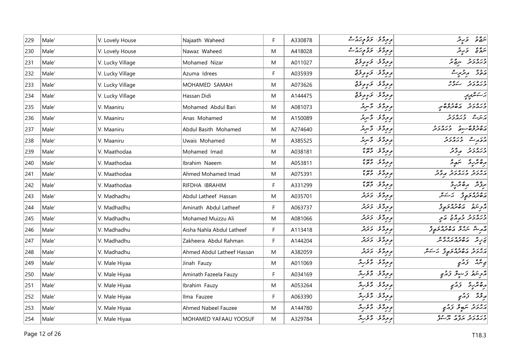| 229 | Male' | V. Lovely House  | Najaath Waheed             | F           | A330878 | <sub>و ب</sub> ود د کار د د مرد د ه | يَرَوُّجْ مَهْ مِرْ يَرْ                            |
|-----|-------|------------------|----------------------------|-------------|---------|-------------------------------------|-----------------------------------------------------|
| 230 | Male' | V. Lovely House  | Nawaz Waheed               | M           | A418028 | و دۇنۇ ، ئۇھ بەر قى                 | بروه ورقر                                           |
| 231 | Male' | V. Lucky Village | Mohamed Nizar              | M           | A011027 | <i>و د د څې</i> تو په وگړي          | ورەرو سرچ تر                                        |
| 232 | Male' | V. Lucky Village | Azuma Idrees               | F           | A035939 | وودد دَ پوده                        | ړ دی په مرسې                                        |
| 233 | Male' | V. Lucky Village | MOHAMED SAMAH              | M           | A073626 | وودَّى دَرِ وِدْهْ                  | ورەرو بەرە                                          |
| 234 | Male' | V. Lucky Village | Hassan Didi                | M           | A144475 | وودٌ وَالاَوِدِهِ                   | ئەسەئىر بىر<br>ئ                                    |
| 235 | Male' | V. Maaniru       | Mohamed Abdul Bari         | M           | A081073 | ە دۇڭر ق <sup>ى</sup> رىز           | כנסנכ נסכסת.<br>כגובת גשתקפית                       |
| 236 | Male' | V. Maaniru       | Anas Mohamed               | M           | A150089 | و دۇڭ ئەرىر                         | ړیږے ورورو                                          |
| 237 | Male' | V. Maaniru       | Abdul Basith Mohamed       | M           | A274640 | وبودٌ دُ دُ سِرْ                    | ره وه محمد و دره د و<br>پرحافرمرحهٔ سوچه و بربرو تر |
| 238 | Male' | V. Maaniru       | Uwais Mohamed              | M           | A385525 | ووڈڈ ڈیریڈ                          | أروم وره دو                                         |
| 239 | Male' | V. Maathodaa     | Mohamed Imad               | M           | A038181 | أو ودٌ وَ بِهِ بِهِ بِهِ            | כנסנכ בכת<br><i>כג</i> ובת בכת                      |
| 240 | Male' | V. Maathodaa     | Ibrahim Naeem              | M           | A053811 | و د د د .<br>  د د د . د . د .      | رەتزىر سەر                                          |
| 241 | Male' | V. Maathodaa     | Ahmed Mohamed Imad         | M           | A075391 | ە يەم ئەيدە<br>س                    | ג סגב בג סגב הבב                                    |
| 242 | Male' | V. Maathodaa     | RIFDHA IBRAHIM             | $\mathsf F$ | A331299 | ووڈڈ دیو                            | بروثر مقتربة                                        |
| 243 | Male' | V. Madhadhu      | Abdul Latheef Hassan       | M           | A035701 | و ودٌ ی کرد و                       | גפרפק באבית                                         |
| 244 | Male' | V. Madhadhu      | Aminath Abdul Latheef      | F           | A063737 | <i>و ودٌ ڈ</i> وَ ترتر              | הכיתם הסינה בפל                                     |
| 245 | Male' | V. Madhadhu      | Mohamed Muizzu Ali         | M           | A081066 | و ورٌ تو ، الازار                   |                                                     |
| 246 | Male' | V. Madhadhu      | Aisha Nahla Abdul Latheef  | F           | A113418 | و درگان کرده<br>  درگان کرده        | و ديگر سرد و ده ده ده و                             |
| 247 | Male' | V. Madhadhu      | Zakheera Abdul Rahman      | F           | A144204 | و درگانگ در در د                    | ى ئەس بەرەرەرەرە                                    |
| 248 | Male' | V. Madhadhu      | Ahmed Abdul Latheef Hassan | M           | A382059 | و ودٌ کی تر در د                    | ג סגב גם כסביר ביציע הריית.<br>הגבע השנגבת ב        |
| 249 | Male' | V. Male Hiyaa    | Jinah Fauzy                | M           | A011069 | وودً و تُؤرِّرُ                     | م <sub>و</sub> سَمَّدُ نَرَمَّ <sub>مَ</sub>        |
| 250 | Male' | V. Male Hiyaa    | Aminath Fazeela Fauzy      | F           | A034169 | ە دۇئى گۈرگە                        | أأوشي وكسواني وأرمي                                 |
| 251 | Male' | V. Male Hiyaa    | Ibrahim Fauzy              | M           | A053264 | و د د د د د د بر                    | وە ئەر ئەدىپ                                        |
| 252 | Male' | V. Male Hiyaa    | Ilma Fauzee                | F           | A063390 | و د د د د د د د ا                   | أمرعرق وكرمي                                        |
| 253 | Male' | V. Male Hiyaa    | Ahmed Nabeel Fauzee        | M           | A144780 | وبردٌ وَ دُرگ                       | גפנק תושב צהב                                       |
| 254 | Male' | V. Male Hiyaa    | MOHAMED YAFAAU YOOSUF      | M           | A329784 | وودٌ وَ رَّ دُرگَ                   | כנסג כ"ג זה ככ"<br>ב"ג הביה חצף ח"-ת                |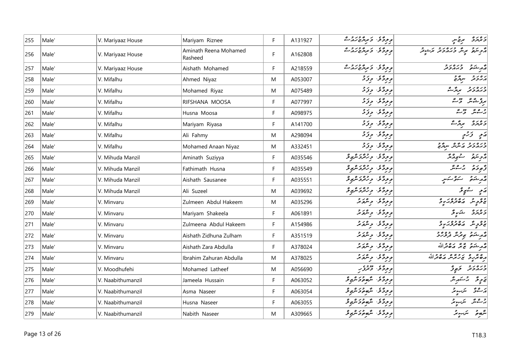| 255 | Male' | V. Mariyaaz House | Mariyam Riznee                   | F  | A131927 | و د د د . د بر و بر د . د .            | أو مربره مربح س                         |
|-----|-------|-------------------|----------------------------------|----|---------|----------------------------------------|-----------------------------------------|
| 256 | Male' | V. Mariyaaz House | Aminath Reena Mohamed<br>Rasheed | F. | A162808 | موۇكى ئەيرىزى ئەرم                     | י הודע בנסור הודע היינה                 |
| 257 | Male' | V. Mariyaaz House | Aishath Mohamed                  | F  | A218559 | د د د د .<br>  د بر د د بر پر بر بر ۱  | أشهر مده دره د و                        |
| 258 | Male' | V. Mifalhu        | Ahmed Niyaz                      | M  | A053007 | ووڈڈ وزُڈ                              | גם גד הבב                               |
| 259 | Male' | V. Mifalhu        | Mohamed Riyaz                    | M  | A075489 | وودٌ دُ وزَرْ                          | כנסנכ תוצים                             |
| 260 | Male' | V. Mifalhu        | RIFSHANA MOOSA                   | F  | A077997 | اودۇد دۆر                              | ىرۇشۇنىڭ جەڭ                            |
| 261 | Male' | V. Mifalhu        | Husna Moosa                      | F. | A098975 | وودٌ دُ وزَرْ                          | جراعا معن وحرام مع                      |
| 262 | Male' | V. Mifalhu        | Mariyam Riyasa                   | F. | A141700 | او ود د و د د د                        | د ۱۵ ده په مرکز ک                       |
| 263 | Male' | V. Mifalhu        | Ali Fahmy                        | M  | A298094 | و دۇ.<br>رىر دۇر                       | أة يحتمد ترترحي                         |
| 264 | Male' | V. Mifalhu        | Mohamed Anaan Niyaz              | M  | A332451 | وودٌ د ورَدْ                           | כנסגב גובס וקובר<br>בגובבת גוולית וקודש |
| 265 | Male' | V. Mihuda Manzil  | Aminath Suziyya                  | F  | A035546 | ودؤكى ورتروشيرو                        | أزويند فسنبوه ومحمد                     |
| 266 | Male' | V. Mihuda Manzil  | Fathimath Husna                  | F  | A035549 | ودؤكى ورتزوندرو                        | و ده ده ش                               |
| 267 | Male' | V. Mihuda Manzil  | Aishath Sausanee                 | F  | A035551 | ودؤكى ورتروشيرو                        | م شده ده کنید<br>اور شده سده ک          |
| 268 | Male' | V. Mihuda Manzil  | Ali Suzeel                       | M  | A039692 | وودَّ و رقيدة شهود                     | أەسم سىمبى ئى                           |
| 269 | Male' | V. Minvaru        | Zulmeen Abdul Hakeem             | M  | A035296 | وودٌ و سرور و                          |                                         |
| 270 | Male' | V. Minvaru        | Mariyam Shakeela                 | F  | A061891 | او دؤڈ ویڈو                            | دەرە شىرقە                              |
| 271 | Male' | V. Minvaru        | Zulmeena Abdul Hakeem            | F  | A154986 | وبودَّى وبثروثر                        | وه پر ده وه در و                        |
| 272 | Male' | V. Minvaru        | Aishath Zidhuna Zulham           | F  | A351519 | وودعى ويثقظه                           | وگرېشو <sub>کو</sub> ترنگر زور د        |
| 273 | Male' | V. Minvaru        | Aishath Zara Abdulla             | F  | A378024 | وودٌ و سرور و                          | مُ مشور بح مَ مَ صَحْرَ اللّه           |
| 274 | Male' | V. Minvaru        | Ibrahim Zahuran Abdulla          | M  | A378025 | أو ودعى ومرور                          | مصريح بمرترس مصرالله                    |
| 275 | Male' | V. Moodhufehi     | Mohamed Latheef                  | M  | A056690 | و د څو د د د وي ر                      | ورەر ئەۋ                                |
| 276 | Male' | V. Naabithumanzil | Jameela Hussain                  | F  | A063052 | و دۇ. سەۋەتسى د                        | ق ج ق - جر سكور شر                      |
| 277 | Male' | V. Naabithumanzil | Asma Naseer                      | F  | A063054 | ورۇكۇ شھۇدىمبر                         | أراء في الكرب وتر                       |
| 278 | Male' | V. Naabithumanzil | Husna Naseer                     | F  | A063055 | -<br>جرمرگز س <sub>گھ</sub> پر مربع گر | برك مكرسوبر                             |
| 279 | Male' | V. Naabithumanzil | Nabith Naseer                    | M  | A309665 | مودكت سم مودكتيني                      | لترجوهم الترسونر                        |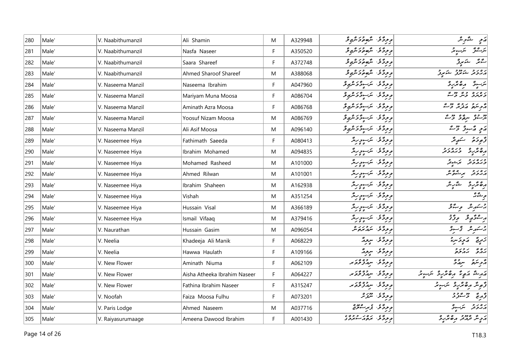| 280 | Male' | V. Naabithumanzil | Ali Shamin                   | M         | A329948 | و دۇكى شەھ دىكى د                        | ړې شره شر                               |
|-----|-------|-------------------|------------------------------|-----------|---------|------------------------------------------|-----------------------------------------|
| 281 | Male' | V. Naabithumanzil | Nasfa Naseer                 | F         | A350520 | وبرۇتۇ. سەھ دەر ھې ئ                     | يتراشق الترسية مر                       |
| 282 | Male' | V. Naabithumanzil | Saara Shareef                | F         | A372748 | ودۇڭ سەھ ئەسىر ئ                         | الشريق الشميروني<br>الشريق الشميروني    |
| 283 | Male' | V. Naabithumanzil | <b>Ahmed Sharoof Shareef</b> | M         | A388068 | و دوم گروه در مربو                       | رەر دەدە يەردە ئەير                     |
| 284 | Male' | V. Naseema Manzil | Naseema Ibrahim              | F         | A047960 | أوودة والترابية والمهود                  | ەرھەترىر <sup>ى</sup><br> سریسوژ<br> -- |
| 285 | Male' | V. Naseema Manzil | Mariyam Muna Moosa           | F         | A086704 | و دۇڭ سە پەۋەتمىي ۋ                      | رەرە دە س                               |
| 286 | Male' | V. Naseema Manzil | Aminath Azra Moosa           | F         | A086768 | وودد ترجز وترو                           | ה הב הבי ידי.<br>הביתם הנקיד ב          |
| 287 | Male' | V. Naseema Manzil | Yoosuf Nizam Moosa           | ${\sf M}$ | A086769 | وودد. سَرَ دِدْدَسْهِ د                  | وزيرو برنجرد وحمله                      |
| 288 | Male' | V. Naseema Manzil | Ali Asif Moosa               | ${\sf M}$ | A096140 | <i>و دۇ</i> ئى. ئىز يەۋە ئىر ئى          | أربح ومجسوفر حرمشة                      |
| 289 | Male' | V. Naseemee Hiya  | Fathimath Saeeda             | F         | A080413 | و دۇڭ ئىسورىد                            | أرتموخي ستهيقه                          |
| 290 | Male' | V. Naseemee Hiya  | Ibrahim Mohamed              | M         | A094835 | و دولو. مرجوبه؟                          | دە ئەرە دىرەرد                          |
| 291 | Male' | V. Naseemee Hiya  | Mohamed Rasheed              | M         | A101000 | ە يەۋڭ ئىر يەر بەر                       | ورەرو كەنبەتە                           |
| 292 | Male' | V. Naseemee Hiya  | Ahmed Rilwan                 | M         | A101001 | ە بەر ئىق سەسىرە بەر ئە                  | رەرد برىيەم<br>مەرىر برىنىمەش           |
| 293 | Male' | V. Naseemee Hiya  | Ibrahim Shaheen              | ${\sf M}$ | A162938 | ە يەۋڭ ئىر يەر بەر                       | ە ھەترىر <sup>ە</sup><br>ىشترىرىش       |
| 294 | Male' | V. Naseemee Hiya  | Vishah                       | M         | A351254 | ە يەۋكى سىسىرىدۇ.<br>مەركى               | موستشر                                  |
| 295 | Male' | V. Naseemee Hiya  | Hussain Visal                | M         | A366189 | ە يەۋڭ ئىر يەر بەر                       | جسكريش ويتوفر                           |
| 296 | Male' | V. Naseemee Hiya  | Ismail Vifaaq                | M         | A379416 | ە يەۋڭ ئىر يەر بەر                       | وستوصفح ورقو                            |
| 297 | Male' | V. Naurathan      | Hussain Gasim                | M         | A096054 | و د ځو. سمه بره ش                        | جر سكهر سكر ستح سبوقر                   |
| 298 | Male' | V. Neelia         | Khadeeja Ali Manik           | F         | A068229 | <i>و و دُ</i> ئر سرمه.<br>  تر بر شهر می | ذَمرِيَّ - مَا تَحْرَ الرَّسُ           |
| 299 | Male' | V. Neelia         | Hawwa Haulath                | F         | A109166 | و دِدَّدَ سردِهُ                         | رە بەدىر                                |
| 300 | Male' | V. New Flower     | Aminath Niuma                | F         | A062109 | و دۇ. سەزگۈە                             | הכיתה יינהל                             |
| 301 | Male' | V. New Flower     | Aisha Atheeka Ibrahim Naseer | F         | A064227 | وودٌ دَ. سِرْدْ دُءَ مَد                 | وكرمة كوه كالمعتبرة لترجد               |
| 302 | Male' | V. New Flower     | Fathina Ibrahim Naseer       | F         | A315247 | و د د د و و و و د به                     | قوم معانية مسبط                         |
| 303 | Male' | V. Noofah         | Faiza Moosa Fulhu            | F         | A073201 | و و د و دره                              | أوريح ومستور                            |
| 304 | Male' | V. Paris Lodge    | Ahmed Naseem                 | M         | A037716 | وتروش وبرياموه                           | أرور و مرسو                             |
| 305 | Male' | V. Raiyasurumaaqe | Ameena Dawood Ibrahim        | F         | A001430 | و وي ده د دوه د<br>و وگو بروه سورد د     | أرَوِ مَرْ مُرْمَدٌ مِنْ مُرْمِرٍ وَ    |
|     |       |                   |                              |           |         |                                          |                                         |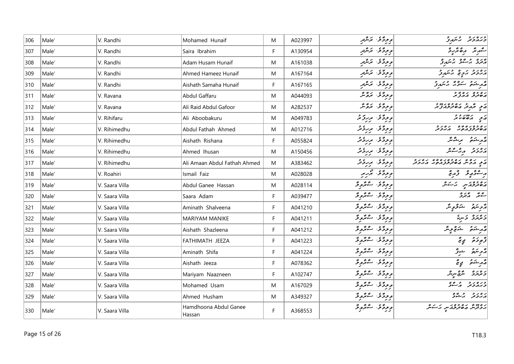| 306 | Male' | V. Randhi      | Mohamed Hunaif                  | M  | A023997 | و دیگر بر عرب                                                           | ورەرو ويمدۇ                                            |
|-----|-------|----------------|---------------------------------|----|---------|-------------------------------------------------------------------------|--------------------------------------------------------|
| 307 | Male' | V. Randhi      | Saira Ibrahim                   | E  | A130954 | مورد و سره مراسم العربي<br>  مراسم العربي                               | لشهر شهره وه تررد                                      |
| 308 | Male' | V. Randhi      | Adam Husam Hunaif               | M  | A161038 | <i>و د د څ</i> و سر مرمرمبر                                             | وره د ده د شهر                                         |
| 309 | Male' | V. Randhi      | Ahmed Hameez Hunaif             | M  | A167164 | وودَّ وَ بَرَسْمَ إِ                                                    | גפצת גבָר ג'יתוך                                       |
| 310 | Male' | V. Randhi      | Aishath Samaha Hunaif           | F  | A167165 | وودَّ تَدَسْعِرِ                                                        | أورشن سنرو ومدو                                        |
| 311 | Male' | V. Ravana      | Abdul Gaffaru                   | M  | A044093 | وِ دِ دَّ دَ سَرَةٌ مَّرَ                                               | נסכם נפיכ<br>השיני ההנינ                               |
| 312 | Male' | V. Ravana      | Ali Raid Abdul Gafoor           | M  | A282537 | و د د د . نده تر                                                        | كم محمد تر مصر دور دور                                 |
| 313 | Male' | V. Rihifaru    | Ali Aboobakuru                  | M  | A049783 | و د د د کار او د کار ماله استادار می<br>  ایران کار استادار میکند که می | 77777                                                  |
| 314 | Male' | V. Rihimedhu   | Abdul Fathah Ahmed              | M  | A012716 | و د د د .<br>  د ر د د  سر د د .                                        | ره وه ره ده مدر در د<br>پرهنرمونو پر پر پر در          |
| 315 | Male' | V. Rihimedhu   | Aishath Rishana                 | F  | A055824 | و دؤڈ پررونر                                                            | أقرم شكرة المحرسة مكر                                  |
| 316 | Male' | V. Rihimedhu   | Ahmed Ihusan                    | M  | A150456 | <i>و و د څ</i> و سر سر د ور                                             | رەرد رومۇش                                             |
| 317 | Male' | V. Rihimedhu   | Ali Amaan Abdul Fathah Ahmed    | M  | A383462 | و و د گور، سر ر د و د                                                   | ן גורים גם בסגם כם גם ב<br>הוב הכית השתתנהפה ההכת      |
| 318 | Male' | V. Roahiri     | Ismail Faiz                     | M  | A028028 | <i>و د د ؟</i><br>  ر بر ژوئه لنگر بر بر                                | و جۇمۇقى ئۇرغ                                          |
| 319 | Male' | V. Saara Villa | Abdul Ganee Hassan              | M  | A028114 | ورۇبۇ. شۇرۇ                                                             | رە دەرسە كەسكىر                                        |
| 320 | Male' | V. Saara Villa | Saara Adam                      | F  | A039477 | وبورمحو سنتقرونقر                                                       | شتر پڑو                                                |
| 321 | Male' | V. Saara Villa | Aminath Shalveena               | F  | A041210 | <sub>ع</sub> ودٌ دُ. سُنْتُهُ دُ                                        | أأدح سكرة والمشوقي متكر                                |
| 322 | Male' | V. Saara Villa | <b>MARIYAM MANIKE</b>           | F. | A041211 | <sub>عب</sub> عرى مُحَمَّد مُحَمَّد مِنَّقَد                            | دەرە دىرە                                              |
| 323 | Male' | V. Saara Villa | Aishath Shazleena               | F  | A041212 | مِعِرْدَ وَ سُنَمَرِهِ وَ                                               | و مشرد مشرکو پیش                                       |
| 324 | Male' | V. Saara Villa | FATHIMATH JEEZA                 | F  | A041223 | مورد كو سۇ ئۇرۇ قى                                                      | وٌمِ رَمْ وَ مِيَّ                                     |
| 325 | Male' | V. Saara Villa | Aminath Shifa                   | E  | A041224 | ووژڈ سُمَعْ وِژَ                                                        | أأترسكه<br>شعوش                                        |
| 326 | Male' | V. Saara Villa | Aishath Jeeza                   | F  | A078362 | ووژڈ سُمَعْ وِدَّ                                                       | وٌ مرشوش و مح حج                                       |
| 327 | Male' | V. Saara Villa | Mariyam Naazneen                | F  | A102747 | ووژڈ سُمَعْ وِژَ                                                        | ر <i>ور و</i> شيم سر مر                                |
| 328 | Male' | V. Saara Villa | Mohamed Usam                    | M  | A167029 | أو ورمحو بمستقر و محر                                                   | ورەر د دەۋ                                             |
| 329 | Male' | V. Saara Villa | Ahmed Husham                    | M  | A349327 | <sub>و پر</sub> وژ. س <sup>ی</sup> متروژ                                | رەرد جەمھ                                              |
| 330 | Male' | V. Saara Villa | Hamdhoona Abdul Ganee<br>Hassan | F  | A368553 | <sub>و پر</sub> وځ. شمره وگر                                            | ره دور در در ودر سر برگرگر<br>بروترس ماه تروگرس برگرگر |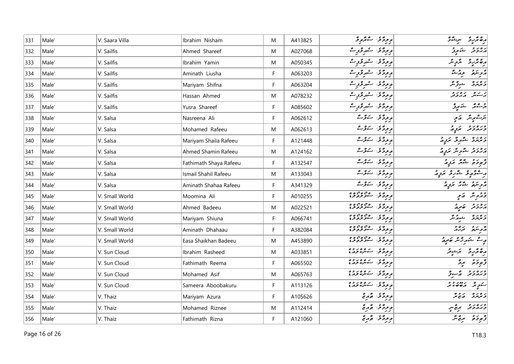| 331 | Male' | V. Saara Villa | Ibrahim Nisham         | M         | A413825 | ە دۇنۇ ، سەنۇە ئ                                                      | سرشگرو<br>ە ھەترىر 2<br>س                                                                                               |
|-----|-------|----------------|------------------------|-----------|---------|-----------------------------------------------------------------------|-------------------------------------------------------------------------------------------------------------------------|
| 332 | Male' | V. Sailfis     | Ahmed Shareef          | ${\sf M}$ | A027068 | دیره همه دی در معرفت استان<br>  دیره در معرف در معرف                  | پرەرو شەرو                                                                                                              |
| 333 | Male' | V. Sailfis     | Ibrahim Yamin          | M         | A050345 | و دې. ، مه دوت                                                        | ېژ <sub>ىچ</sub> بىر<br>ە ھەترىر <sup>ە</sup>                                                                           |
| 334 | Male' | V. Sailfis     | Aminath Liusha         | F         | A063203 | <sub>و پر</sub> وی عبر ورت                                            | أأزجر سترام والمرامثة                                                                                                   |
| 335 | Male' | V. Sailfis     | Mariyam Shifna         | F         | A063204 | وود د مهرور م                                                         | دەرە ھۆش                                                                                                                |
| 336 | Male' | V. Sailfis     | Hassan Ahmed           | M         | A078232 | ە دۇئى سىردىرىشى                                                      | يز کشش امرچ ور                                                                                                          |
| 337 | Male' | V. Sailfis     | Yusra Shareef          | F         | A085602 | وود د مهرور م                                                         | ا پرېشتو په مشمور د کال کې د مختلف د کال کې د کال کې د کال کې د کالو کالو کالو کالو کالو کالو کالو کړې کالو کړ<br>موسيق |
| 338 | Male' | V. Salsa       | Nasreena Ali           | F         | A062612 | ە دۇئى. سەۋىسە                                                        | سَرَسْہ سِرْس کو <sub>م</sub> َبِّع                                                                                     |
| 339 | Male' | V. Salsa       | Mohamed Rafeeu         | M         | A062613 | وېږگو، سکوسګه                                                         | כנפנב בנב                                                                                                               |
| 340 | Male' | V. Salsa       | Mariyam Shaila Rafeeu  | F         | A121448 | وېرگۇ، سەۋىگە                                                         | د پرټرو څرګړو ټرړو                                                                                                      |
| 341 | Male' | V. Salsa       | Ahmed Shamin Rafeeu    | M         | A124162 | مودم دي سنڌي م                                                        | أرورة الشرار المرواة                                                                                                    |
| 342 | Male' | V. Salsa       | Fathimath Shaya Rafeeu | F         | A132547 | <sub>قر</sub> ىرى ئەرگىسى<br> - ئەرگىسى ئىس                           | ژُودَهِ شَرَّ بَرَرٍ دُ                                                                                                 |
| 343 | Male' | V. Salsa       | Ismail Shahil Rafeeu   | M         | A133043 | ە دۇق سۇرىيە                                                          | ر جۇمپۇ ھەرۋ تروپ                                                                                                       |
| 344 | Male' | V. Salsa       | Aminath Shahaa Rafeeu  | F         | A341329 | اوېږدى. سوچينې                                                        | أأروسهم المشركة المرورة                                                                                                 |
| 345 | Male' | V. Small World | Moomina Ali            | F         | A010255 | و وي ده ۲۵۵۵<br>و وي د سرو وي                                         | دو پر ړیږ                                                                                                               |
| 346 | Male' | V. Small World | Ahmed Badeeu           | ${\sf M}$ | A022521 | <i>ج د څ</i> و موه ده ده<br>ج د څو مسود د د د                         | أرور و محمده                                                                                                            |
| 347 | Male' | V. Small World | Mariyam Shiuna         | F         | A066741 | ه ده ده ده ده ده<br>او درگر در سرد دو درو                             | رەرە شەرقە                                                                                                              |
| 348 | Male' | V. Small World | Aminath Dhahaau        | F         | A382084 | ه ۵ ه ۵ ه ه<br>سر <del>و و و و</del> و<br>ە يودگۇ.<br>رىر             | أأوسكم فرجم                                                                                                             |
| 349 | Male' | V. Small World | Easa Shaikhan Badeeu   | M         | A453890 | ه ۱ <i>۵۵۵ و ه</i><br>سر <del>و و</del> ونو و<br> ووڈڈ.<br>  <u>ب</u> | ړے خرگر ځېږ                                                                                                             |
| 350 | Male' | V. Sun Cloud   | Ibrahim Rasheed        | M         | A033851 | وودًى سەردە                                                           | رە ئرىر ئىن ئىشىر                                                                                                       |
| 351 | Male' | V. Sun Cloud   | Fathimath Reema        | F         | A065502 | ە يەتتى. ئەسرىر يەرە                                                  | وَجوحهِ بِرِدَّ                                                                                                         |
| 352 | Male' | V. Sun Cloud   | Mohamed Asif           | M         | A065763 | ە دۇنى سەس دەرە                                                       | ورەرو ئەببو                                                                                                             |
| 353 | Male' | V. Sun Cloud   | Sameera Aboobakuru     | F         | A113126 | ە دۇق. سەس دە دە                                                      | 77/77/7<br> سەرپە ئە                                                                                                    |
| 354 | Male' | V. Thaiz       | Mariyam Azura          | F         | A105626 | وودً و المجمد المع                                                    | גפגם גביב                                                                                                               |
| 355 | Male' | V. Thaiz       | Mohamed Riznee         | M         | A112414 | و دِ دُ دَ ۽ وُ دِ چ                                                  | و ره ر د<br><i>د ب</i> رگر تر<br>ىر چىلىر                                                                               |
| 356 | Male' | V. Thaiz       | Fathimath Rizna        | F         | A121060 | وود و و و                                                             | أراموخا مرتج مكر                                                                                                        |
|     |       |                |                        |           |         |                                                                       |                                                                                                                         |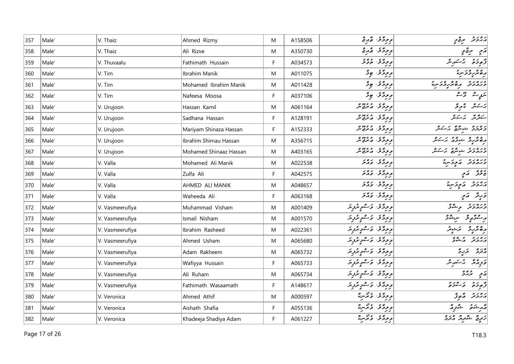| 357 | Male' | V. Thaiz        | Ahmed Rizmy            | M  | A158506 | <i>و د د څو</i> په مړينې                        | ترژد تر<br>ىرچ ج                 |
|-----|-------|-----------------|------------------------|----|---------|-------------------------------------------------|----------------------------------|
| 358 | Male' | V. Thaiz        | Ali Rizve              | M  | A350730 | و د د د . و و ه                                 | أوسمج مرجيح محيا                 |
| 359 | Male' | V. Thuvaalu     | Fathimath Hussain      | F  | A034573 | و د ژو و د و د                                  | ىر ئەسەمبەر<br>و مر د<br>ترجو حو |
| 360 | Male' | V. Tim          | Ibrahim Manik          | M  | A011075 | او دِدَّ دَ ہو                                  |                                  |
| 361 | Male' | V. Tim          | Mohamed Ibrahim Manik  | M  | A011428 | و دِ دَ دَ . ہِ دِ                              | כנסגב תפתנבציתי                  |
| 362 | Male' | V. Tim          | Nafeesa Moosa          | F  | A037106 | و دِ دَ دَ و د                                  | بتربر بيح حق                     |
| 363 | Male' | V. Urujoon      | Hassan Kamil           | M  | A061164 | <i>و د د به</i><br>و د د که د بر د س            | ير سند شي شريحه                  |
| 364 | Male' | V. Urujoon      | Sadhana Hassan         | F  | A128191 | و و و څو .<br>د و وگو . او برخ س                | سەقرىتر برسىر                    |
| 365 | Male' | V. Urujoon      | Mariyam Shinaza Hassan | F. | A152333 | پر پر پر پر پر پر پر پر پر پر پر                | دەرو ھەش كەسكىر                  |
| 366 | Male' | V. Urujoon      | Ibrahim Shimau Hassan  | M  | A356715 | <i>و د څ</i> و مه بره مر                        | رە ئەر ئىشىر ئەسىر ئەسىر         |
| 367 | Male' | V. Urujoon      | Mohamed Shinaaz Hassan | M  | A403165 | د د ځو ده ده ده م                               | ورەرو جەنگى ئەسەس                |
| 368 | Male' | V. Valla        | Mohamed Ali Manik      | M  | A022538 | <i>و د د د .</i><br>  د بر د . و د د            | בגמכני הבביתי                    |
| 369 | Male' | V. Valla        | Zulfa Ali              | F  | A042575 | موڈ ٹی کی میں<br>  موڈ ٹی کی میٹ                | لتحرق كمنع                       |
| 370 | Male' | V. Valla        | AHMED ALI MANIK        | M  | A048657 | ووڈڈ وروز                                       | גם גב הבכתי                      |
| 371 | Male' | V. Valla        | Waheeda Ali            | F  | A063168 | ە پەرتى ئەدى                                    | ءَبہِ پَر سَمِ                   |
| 372 | Male' | V. Vasmeerufiya | Muhammad Visham        | M  | A001409 |                                                 | ورەرو ھەم                        |
| 373 | Male' | V. Vasmeerufiya | Ismail Nisham          | M  | A001570 | <sub>و ب</sub> ودځو، بر س <sup>م</sup> و برو بر | ر جۇرگى سىشگ                     |
| 374 | Male' | V. Vasmeerufiya | Ibrahim Rasheed        | M  | A022361 | و د د د ، پر شو برو تر                          | ەھترىر <sup>ى</sup> ترىشوتر      |
| 375 | Male' | V. Vasmeerufiya | Ahmed Usham            | M  | A065680 | وودٌ دُ وَسْقَوٍ بِرُوجَر                       | رەرد دىئۇ                        |
| 376 | Male' | V. Vasmeerufiya | Adam Rakheem           | M  | A065732 | أوودة كالمستوردة                                | ړوو ټرنې                         |
| 377 | Male' | V. Vasmeerufiya | Wafiyya Hussain        | F  | A065733 | <i>و دؤ</i> کھ کا شہر پرویز                     | تورمه برسمه                      |
| 378 | Male' | V. Vasmeerufiya | Ali Ruham              | M  | A065734 | و دِدَّدَ وَڪْرِ بُرُو پَرَ                     | $rac{1}{2}$                      |
| 379 | Male' | V. Vasmeerufiya | Fathimath Wasaamath    | F  | A148617 | و د د د .<br>  د بر د د . و سو برو بر           | و ده د دره د                     |
| 380 | Male' | V. Veronica     | Ahmed Athif            | M  | A000597 | و ودگر و ترسمه                                  | גפיג ביתר                        |
| 381 | Male' | V. Veronica     | Aishath Shafia         | F. | A055136 | وود و و و مرسر                                  | ړې شکمې ستروړ                    |
| 382 | Male' | V. Veronica     | Khadeeja Shadiya Adam  | F  | A061227 | مودوعة من من من من<br>  مرير من من من من من     | ژمرِیَّ شَہْرِ بَرِ آر زر و      |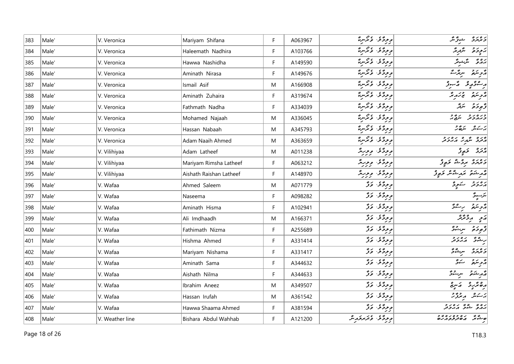| 383 | Male' | V. Veronica     | Mariyam Shifana         | $\mathsf F$ | A063967 | ویردٌ دَ کا کار کا                                   | ىشى <i>رۇنى</i> گە<br>ر ہ ر ہ                        |
|-----|-------|-----------------|-------------------------|-------------|---------|------------------------------------------------------|------------------------------------------------------|
| 384 | Male' | V. Veronica     | Haleemath Nadhira       | $\mathsf F$ | A103766 | وبرؤى ومحرسة                                         | ړَېږِدَهِ گرېرگ                                      |
| 385 | Male' | V. Veronica     | Hawwa Nashidha          | F           | A149590 | و د د ځې په مورثه<br>  ر بر د غو مورثه               | رە پە<br>بەدە                                        |
| 386 | Male' | V. Veronica     | Aminath Nirasa          | F.          | A149676 | و د ځو غو موسره                                      | سرپڑتے<br>أرمره                                      |
| 387 | Male' | V. Veronica     | Ismail Asif             | M           | A166908 | و و د د ه ع ه مر د د ا                               | رەشۇر قەسىر<br>رىستۇر قاسىر                          |
| 388 | Male' | V. Veronica     | Aminath Zuhaira         | F           | A319674 | وتروش وحرمرة                                         |                                                      |
| 389 | Male' | V. Veronica     | Fathmath Nadha          | $\mathsf F$ | A334039 | وودو وعميرة                                          | وَّجِرْحَمَّ سَرَمَّرُ                               |
| 390 | Male' | V. Veronica     | Mohamed Najaah          | M           | A336045 | و د د د                                              | ورەرو رود<br><i>ورم</i> درىر سرچ                     |
| 391 | Male' | V. Veronica     | Hassan Nabaah           | M           | A345793 | أو و و و و و و و د بررا<br>مرد و د المسترد و بر ديرا | يركسكون التركاح                                      |
| 392 | Male' | V. Veronica     | Adam Naaih Ahmed        | M           | A363659 | و د د د و ماه مرسمه                                  | ورو شر د درور                                        |
| 393 | Male' | V. Vilihiyaa    | Adam Latheef            | M           | A011238 | <i>و و ڈی و ور پڑ</i>                                | أرتمرد كالمحاجج تو                                   |
| 394 | Male' | V. Vilihiyaa    | Mariyam Rimsha Latheef  | F           | A063212 | <sub>عرفر</sub> وسی مورید<br>  عرفروسی مورید         | כמתכ תכיל בתל                                        |
| 395 | Male' | V. Vilihiyaa    | Aishath Raishan Latheef | F           | A148970 | <sub>و و</sub> وځو ، و درهٔ                          |                                                      |
| 396 | Male' | V. Wafaa        | Ahmed Saleem            | M           | A071779 | ە يەر ئەقتى بىر ئەرگە<br>ئەرىر ئىقتى ئىقتى           |                                                      |
| 397 | Male' | V. Wafaa        | Naseema                 | F.          | A098282 | ە دۇڭ ئۇ                                             | ىئەسىزىر<br>س                                        |
| 398 | Male' | V. Wafaa        | Aminath Hisma           | F           | A102941 | ومودٌ ذَرٌ وَرٌ                                      |                                                      |
| 399 | Male' | V. Wafaa        | Ali Imdhaadh            | M           | A166371 | وودٌ ڈ وَرَّ                                         | ە ئەھمەدە                                            |
| 400 | Male' | V. Wafaa        | Fathimath Nizma         | F           | A255689 | <sub>عرم</sub> ورمئز وژ                              |                                                      |
| 401 | Male' | V. Wafaa        | Hishma Ahmed            | F           | A331414 | <sub>عر</sub> ىژى ئۇ                                 | رشۇ ئە<br>بر ٥ پر و<br>م <i>ر</i> بر <del>و</del> تر |
| 402 | Male' | V. Wafaa        | Mariyam Nishama         | F.          | A331417 | <i>و ودٌ</i> ذَرٌ قُ                                 | ر ه بر ه<br><del>د</del> بربرگر<br>سرىشگەگ           |
| 403 | Male' | V. Wafaa        | Aminath Sama            | F           | A344632 | ە يەر ئەقتى بىر ئەرگە<br>ئەرىر ئىقتى ئىقتى           | ۇ يەنتى كەن                                          |
| 404 | Male' | V. Wafaa        | Aishath Nilma           | $\mathsf F$ | A344633 | ە دۇڭ ئۇ                                             | وكرمشكم الرائدة                                      |
| 405 | Male' | V. Wafaa        | Ibrahim Aneez           | M           | A349507 | وودٌ دُ وَرَّ                                        |                                                      |
| 406 | Male' | V. Wafaa        | Hassan Irufah           | M           | A361542 | <i>و د</i> ۇنۇ ، ئۇگ                                 | يركبش متعرفر                                         |
| 407 | Male' | V. Wafaa        | Hawwa Shaama Ahmed      | F.          | A381594 | و و د د د د د                                        | رەپ شەم رەرد                                         |
| 408 | Male' | V. Weather line | Bishara Abdul Wahhab    | F           | A121200 | مورد محمد معرض محمد بر<br>  مورد محمد محمد محمد بر   | ه شور ده ده ده دو<br>ه شور ماه ترمود ره              |
|     |       |                 |                         |             |         |                                                      |                                                      |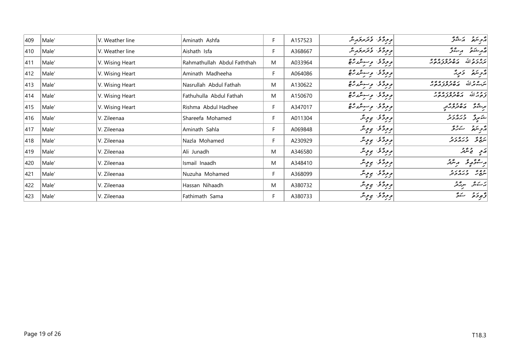| 409           | Male'        | V. Weather line | Aminath Ashfa               | F  | A157523 | <i>و ودٌ تَنْ و فريرتَ م</i> ش                    | أورستهم أوسفوتي                                             |
|---------------|--------------|-----------------|-----------------------------|----|---------|---------------------------------------------------|-------------------------------------------------------------|
| 410           | Male'        | V. Weather line | Aishath Isfa                | F  | A368667 | د د د د . و د د د . د                             | أقدم شدة وسنوتر                                             |
| 411           | Male'        | V. Wising Heart | Rahmathullah Abdul Faththah | M  | A033964 | <sub>ع</sub> رونځو· او سه شروع کړه <mark>(</mark> | ر ٥ د ٥ د ٥ د ٥<br>پره تر تر تر مي<br>بره برح اللّه         |
| 412           | Male'        | V. Wising Heart | Aminath Madheeha            | F. | A064086 | و د د گو. پ و سه مثر ربح                          | أثر والترة وتحدثه                                           |
| $ 413\rangle$ | Male'        | V. Wising Heart | Nasrullah Abdul Fathah      | M  | A130622 | <sub>ح</sub> رمۇش ھەسىھى ئەھ<br>- -               | ر ه د ه د ه د ه<br>پره تر تر تر مر<br>بتربه بحرالله         |
| 414           | Male'        | V. Wising Heart | Fathuhulla Abdul Fathah     | M  | A150670 | د د د گو. پ د سر مثر د ه                          | ر ه و ه ر ه د و<br>پرې تر <del>تر</del> تر م<br>ترح تر الله |
| 415           | <i>Male'</i> | V. Wising Heart | Rishma Abdul Hadhee         | F. | A347017 | و د د کې و سر شري                                 | ر ٥ ۶ ٥ ٥ ٠<br>در ۵ تر تر تر<br>  برشوش                     |
| 416           | Male'        | V. Zileenaa     | Shareefa Mohamed            | F  | A011304 | ووژڈ ، ویژ                                        | و ره ر د<br>تر پروتر<br> شەمبرۇ                             |
| 417           | <i>Male'</i> | V. Zileenaa     | Aminath Sahla               | F  | A069848 | ودِدَّدَ ہوپڈ                                     | ړ د سره<br>سەرىخە                                           |
| 418           | Male'        | V. Zileenaa     | Nazla Mohamed               | F  | A230929 | ودۇڭ ، يوپىژ                                      | ىئەچ ئۇ<br>و رە ر د<br>تر پروتر                             |
| 419           | Male'        | V. Zileenaa     | Ali Junadh                  | M  | A346580 | ووژڈ پویڈ                                         | أەكىم ئىستىقر                                               |
| 420           | Male'        | V. Zileenaa     | Ismail Inaadh               | M  | A348410 | ووژڈ ، ویٹر                                       | مەشتۇم بى<br>ىر سرٌوتر                                      |
| 421           | Male'        | V. Zileenaa     | Nuzuha Mohamed              | F  | A368099 | ودِدُّدُ کورِیڈ                                   | یره و.<br>سرچ ر<br>و رە ر د<br><i>د بە</i> پەر              |
| 422           | Male'        | V. Zileenaa     | Hassan Nihaadh              | M  | A380732 | ووژڈ ہو پڑ                                        | سررگتر<br> پرسەمىر                                          |
| 423           | Male'        | V. Zileenaa     | Fathimath Sama              | F  | A380733 | اودۇ ئۇ ، بې دېگر                                 | رٌ ۾ رَ مُ<br>سەۋ                                           |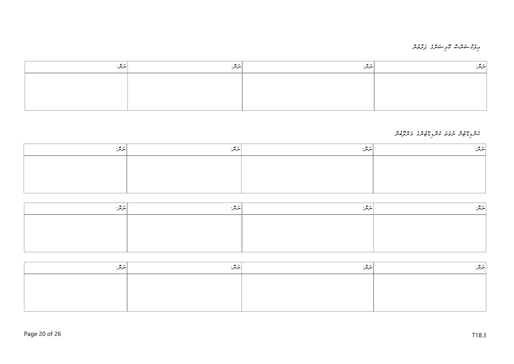## *w7qAn8m? sCw7mRo>u; wEw7mRw;sBo<*

| ' مرمر | 'يئرىثر: |
|--------|----------|
|        |          |
|        |          |
|        |          |

## *w7q9r@w7m> sCw7qHtFoFw7s; mAm=q7 w7qHtFoFw7s;*

| يئرمىش: | $^{\circ}$<br>. سر سر<br>$\cdot$ | $\circ$ $\sim$<br>-- | يئرمثر |
|---------|----------------------------------|----------------------|--------|
|         |                                  |                      |        |
|         |                                  |                      |        |
|         |                                  |                      |        |

| $\frac{2}{n}$ | $\overline{\phantom{a}}$ | اير هنه. | $\mathcal{O} \times$<br>سرسر |
|---------------|--------------------------|----------|------------------------------|
|               |                          |          |                              |
|               |                          |          |                              |
|               |                          |          |                              |

| ' ئىرتىر: | سر سر |  |
|-----------|-------|--|
|           |       |  |
|           |       |  |
|           |       |  |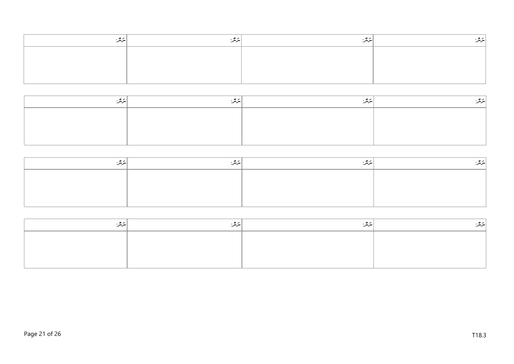| يزهر | $^{\circ}$ | ىئرىتر: |  |
|------|------------|---------|--|
|      |            |         |  |
|      |            |         |  |
|      |            |         |  |

| متريثر به | 。<br>'سرسر'۔ | يتزيترا | سرسر |
|-----------|--------------|---------|------|
|           |              |         |      |
|           |              |         |      |
|           |              |         |      |

| ىر تە | $\sim$ | ا بر هر: | $^{\circ}$<br>' سرسر. |
|-------|--------|----------|-----------------------|
|       |        |          |                       |
|       |        |          |                       |
|       |        |          |                       |

| 。<br>مرس. | $\overline{\phantom{a}}$<br>مر سر | ىرىر |
|-----------|-----------------------------------|------|
|           |                                   |      |
|           |                                   |      |
|           |                                   |      |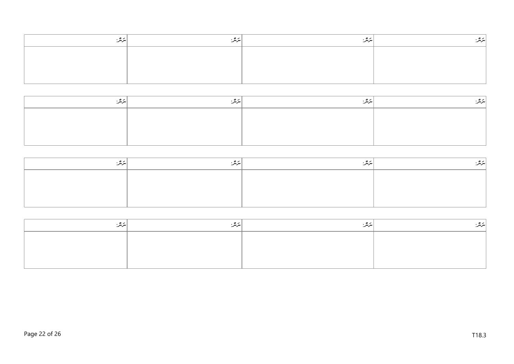| ير هو . | $\overline{\phantom{a}}$ | يرمر | اير هنه. |
|---------|--------------------------|------|----------|
|         |                          |      |          |
|         |                          |      |          |
|         |                          |      |          |

| ىر تىر: | $\circ$ $\sim$<br>" سرسر . | يبرحه | o . |
|---------|----------------------------|-------|-----|
|         |                            |       |     |
|         |                            |       |     |
|         |                            |       |     |

| كترنثر: | 。 | 。<br>سمرسمد. | o <i>~</i> |
|---------|---|--------------|------------|
|         |   |              |            |
|         |   |              |            |
|         |   |              |            |

|  | . ه |
|--|-----|
|  |     |
|  |     |
|  |     |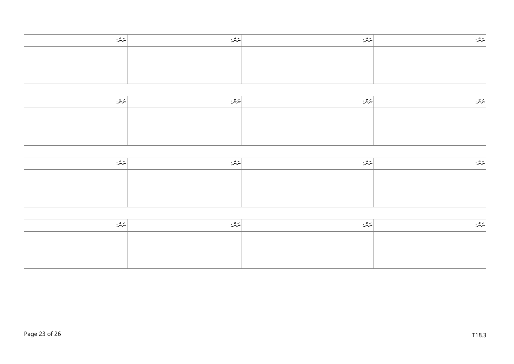| ير هو . | $\overline{\phantom{a}}$ | يرمر | اير هنه. |
|---------|--------------------------|------|----------|
|         |                          |      |          |
|         |                          |      |          |
|         |                          |      |          |

| ئىرتىر: | $\sim$<br>ا سرسر . | يئرمثر | o . |
|---------|--------------------|--------|-----|
|         |                    |        |     |
|         |                    |        |     |
|         |                    |        |     |

| 'تترنثر: | 。<br>,,,, |  |
|----------|-----------|--|
|          |           |  |
|          |           |  |
|          |           |  |

|  | . ه |
|--|-----|
|  |     |
|  |     |
|  |     |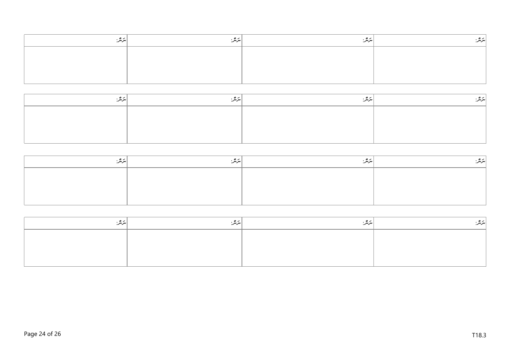| $\cdot$ | 。 | $\frac{\circ}{\cdot}$ | $\sim$<br>سرسر |
|---------|---|-----------------------|----------------|
|         |   |                       |                |
|         |   |                       |                |
|         |   |                       |                |

| يريثن | ' سرسر . |  |
|-------|----------|--|
|       |          |  |
|       |          |  |
|       |          |  |

| بر ه | . ه | $\sim$<br>سرسر |  |
|------|-----|----------------|--|
|      |     |                |  |
|      |     |                |  |
|      |     |                |  |

| 。<br>. س | ىرىىر |  |
|----------|-------|--|
|          |       |  |
|          |       |  |
|          |       |  |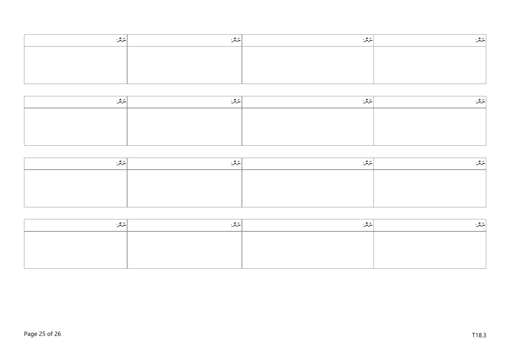| ير هو . | $\overline{\phantom{a}}$ | يرمر | اير هنه. |
|---------|--------------------------|------|----------|
|         |                          |      |          |
|         |                          |      |          |
|         |                          |      |          |

| ىر تىر: | $\circ$ $\sim$<br>" سرسر . | يبرحه | o . |
|---------|----------------------------|-------|-----|
|         |                            |       |     |
|         |                            |       |     |
|         |                            |       |     |

| كترنثر: | 。 | 。<br>سرسر. | o <i>~</i> |
|---------|---|------------|------------|
|         |   |            |            |
|         |   |            |            |
|         |   |            |            |

|  | . ه |
|--|-----|
|  |     |
|  |     |
|  |     |